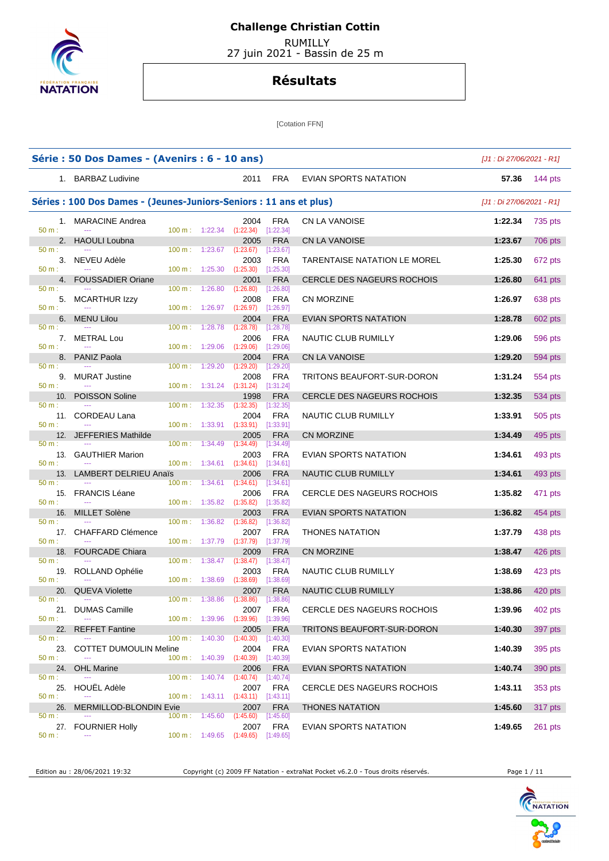

 RUMILLY 27 juin 2021 - Bassin de 25 m

### **Résultats**

[Cotation FFN]

|                       | Série : 50 Dos Dames - (Avenirs : 6 - 10 ans)                      |                                                      |                                                 |                                                                    |                                      |                                   | $[J1:Di 27/06/2021 - R1]$ |                |
|-----------------------|--------------------------------------------------------------------|------------------------------------------------------|-------------------------------------------------|--------------------------------------------------------------------|--------------------------------------|-----------------------------------|---------------------------|----------------|
|                       | 1. BARBAZ Ludivine                                                 |                                                      |                                                 | 2011                                                               | FRA                                  | EVIAN SPORTS NATATION             | 57.36                     | 144 $pts$      |
|                       | Séries : 100 Dos Dames - (Jeunes-Juniors-Seniors : 11 ans et plus) |                                                      |                                                 |                                                                    |                                      |                                   | $[J1:Di 27/06/2021 - R1]$ |                |
| 50 m:                 | 1. MARACINE Andrea                                                 |                                                      | 100 m: 1:22.34                                  | 2004<br>$(1:22.34)$ [1:22.34]                                      | <b>FRA</b>                           | CN LA VANOISE                     | 1:22.34                   | 735 pts        |
|                       | 2. HAOULI Loubna                                                   |                                                      |                                                 | 2005                                                               | <b>FRA</b>                           | CN LA VANOISE                     | 1:23.67                   | <b>706 pts</b> |
| 50 m:<br>$50 m$ :     | 3. NEVEU Adèle                                                     | 100 m: 1:25.30                                       | $100 \text{ m}: 1:23.67$                        | (1:23.67)<br>2003<br>(1:25.30)                                     | [1:23.67]<br><b>FRA</b><br>[1:25.30] | TARENTAISE NATATION LE MOREL      | 1:25.30                   | 672 pts        |
|                       | 4. FOUSSADIER Oriane                                               |                                                      |                                                 | 2001                                                               | <b>FRA</b>                           | <b>CERCLE DES NAGEURS ROCHOIS</b> | 1:26.80                   | 641 pts        |
| 50 m:<br>5.<br>50 m:  | $\sim$<br><b>MCARTHUR Izzy</b>                                     | 100 m:<br>100 m: 1:26.97                             | 1:26.80                                         | (1:26.80)<br>2008<br>$(1:26.97)$ $[1:26.97]$                       | [1:26.80]<br><b>FRA</b>              | <b>CN MORZINE</b>                 | 1:26.97                   | 638 pts        |
|                       | 6. MENU Lilou                                                      |                                                      |                                                 | 2004                                                               | <b>FRA</b>                           | EVIAN SPORTS NATATION             | 1:28.78                   | 602 pts        |
| 50 m:<br>50 m:        | 7. METRAL Lou                                                      | $100 \text{ m}$ :<br>$100 \text{ m}: 1:29.06$        | 1:28.78                                         | (1:28.78)<br>2006<br>(1:29.06)                                     | [1:28.78]<br><b>FRA</b><br>[1:29.06] | NAUTIC CLUB RUMILLY               | 1:29.06                   | 596 pts        |
|                       | 8. PANIZ Paola                                                     |                                                      |                                                 | 2004                                                               | <b>FRA</b>                           | <b>CN LA VANOISE</b>              | 1:29.20                   | 594 pts        |
| $50 m$ :<br>50 m:     | 9. MURAT Justine<br>$\sim$                                         | $100 m$ :                                            | 1:29.20<br>$100 \text{ m}: 1:31.24$ $(1:31.24)$ | (1:29.20)<br>2008                                                  | [1:29.20]<br><b>FRA</b><br>[1:31.24] | TRITONS BEAUFORT-SUR-DORON        | 1:31.24                   | 554 pts        |
| 10.                   | <b>POISSON Soline</b>                                              |                                                      |                                                 | 1998                                                               | <b>FRA</b>                           | CERCLE DES NAGEURS ROCHOIS        | 1:32.35                   | 534 pts        |
| 50 m:<br>50 m:        | $\sim$<br>11. CORDEAU Lana                                         | $100 m$ :                                            | 1:32.35                                         | (1:32.35)<br>2004<br>$100 \text{ m}$ : 1:33.91 (1:33.91) [1:33.91] | [1:32.35]<br>FRA                     | NAUTIC CLUB RUMILLY               | 1:33.91                   | 505 pts        |
|                       | 12. JEFFERIES Mathilde                                             |                                                      |                                                 | 2005                                                               | <b>FRA</b>                           | CN MORZINE                        | 1:34.49                   | 495 pts        |
| 50 m:<br>50 m:        | 13. GAUTHIER Marion                                                | $100 \text{ m}: 1:34.49$<br>$100 \text{ m}: 1:34.61$ |                                                 | (1:34.49)<br>2003<br>(1:34.61)                                     | [1:34.49]<br><b>FRA</b><br>[1:34.61] | EVIAN SPORTS NATATION             | 1:34.61                   | 493 pts        |
|                       | 13. LAMBERT DELRIEU Anaïs                                          |                                                      |                                                 | 2006                                                               | <b>FRA</b>                           | NAUTIC CLUB RUMILLY               | 1:34.61                   | 493 pts        |
| 50 m:<br>50 m:        | 15. FRANCIS Léane<br>$\sim$                                        | $100 \text{ m}: 1:34.61$<br>100 m: 1:35.82           |                                                 | (1:34.61)<br>2006<br>(1:35.82)                                     | [1:34.61]<br><b>FRA</b><br>[1:35.82] | CERCLE DES NAGEURS ROCHOIS        | 1:35.82                   | 471 pts        |
|                       | 16. MILLET Solène                                                  |                                                      |                                                 | 2003                                                               | <b>FRA</b>                           | <b>EVIAN SPORTS NATATION</b>      | 1:36.82                   | 454 pts        |
| 50 m:<br>50 m:        | 17. CHAFFARD Clémence<br>$\sim$                                    | $100 \text{ m}$ :<br>100 m: 1:37.79                  | 1:36.82                                         | (1:36.82)<br>2007<br>(1:37.79)                                     | [1:36.82]<br><b>FRA</b><br>[1:37.79] | <b>THONES NATATION</b>            | 1:37.79                   | 438 pts        |
|                       | 18. FOURCADE Chiara                                                | $100 \text{ m}$ :                                    |                                                 | 2009                                                               | <b>FRA</b>                           | CN MORZINE                        | 1:38.47                   | $426$ pts      |
| 50 m:<br>50 m:        | 19. ROLLAND Ophélie                                                | $100 \text{ m}: 1:38.69$                             | 1:38.47                                         | (1:38.47)<br>2003<br>(1:38.69)                                     | [1:38.47]<br><b>FRA</b><br>[1:38.69] | NAUTIC CLUB RUMILLY               | 1:38.69                   | 423 pts        |
| 20.                   | <b>QUEVA Violette</b>                                              |                                                      |                                                 | 2007                                                               | <b>FRA</b>                           | <b>NAUTIC CLUB RUMILLY</b>        | 1:38.86                   | 420 pts        |
| 50 m:<br>50 m:        | $\sim$ $\sim$<br>21. DUMAS Camille                                 | 100 m: 1:39.96                                       | $100 \text{ m}: 1:38.86$ $(1:38.86)$            | 2007<br>(1:39.96)                                                  | [1:38.86]<br>FRA<br>[1:39.96]        | CERCLE DES NAGEURS ROCHOIS        | 1:39.96                   | 402 pts        |
| 22.                   | <b>REFFET Fantine</b>                                              |                                                      |                                                 | 2005                                                               | <b>FRA</b>                           | TRITONS BEAUFORT-SUR-DORON        | 1:40.30                   | 397 pts        |
| 50 m:<br>23.<br>50 m: | <b>COTTET DUMOULIN Meline</b>                                      | 100 m: 1:40.30<br>$100 \text{ m}: 1:40.39$           |                                                 | (1:40.30)<br>2004<br>$(1:40.39)$ $[1:40.39]$                       | [1:40.30]<br><b>FRA</b>              | EVIAN SPORTS NATATION             | 1:40.39                   | 395 pts        |
| 24.                   | <b>OHL Marine</b>                                                  |                                                      |                                                 | 2006                                                               | <b>FRA</b>                           | <b>EVIAN SPORTS NATATION</b>      | 1:40.74                   | 390 pts        |
| 50 m:<br>25.<br>50 m: | HOUËL Adèle                                                        | 100 m :<br>100 m: 1:43.11                            | 1:40.74                                         | (1:40.74)<br>2007<br>(1:43.11)                                     | [1:40.74]<br><b>FRA</b><br>[1:43.11] | CERCLE DES NAGEURS ROCHOIS        | 1:43.11                   | 353 pts        |
| 26.                   | <b>MERMILLOD-BLONDIN Evie</b>                                      |                                                      |                                                 | 2007                                                               | <b>FRA</b>                           | <b>THONES NATATION</b>            | 1:45.60                   | 317 pts        |
| 50 m:<br>50 m:        | 27. FOURNIER Holly                                                 | 100 m: 1:45.60                                       |                                                 | (1:45.60)<br>2007<br>100 m: 1:49.65 (1:49.65) [1:49.65]            | [1:45.60]<br>FRA                     | EVIAN SPORTS NATATION             | 1:49.65                   | $261$ pts      |

Edition au : 28/06/2021 19:32 Copyright (c) 2009 FF Natation - extraNat Pocket v6.2.0 - Tous droits réservés. Page 1 / 11

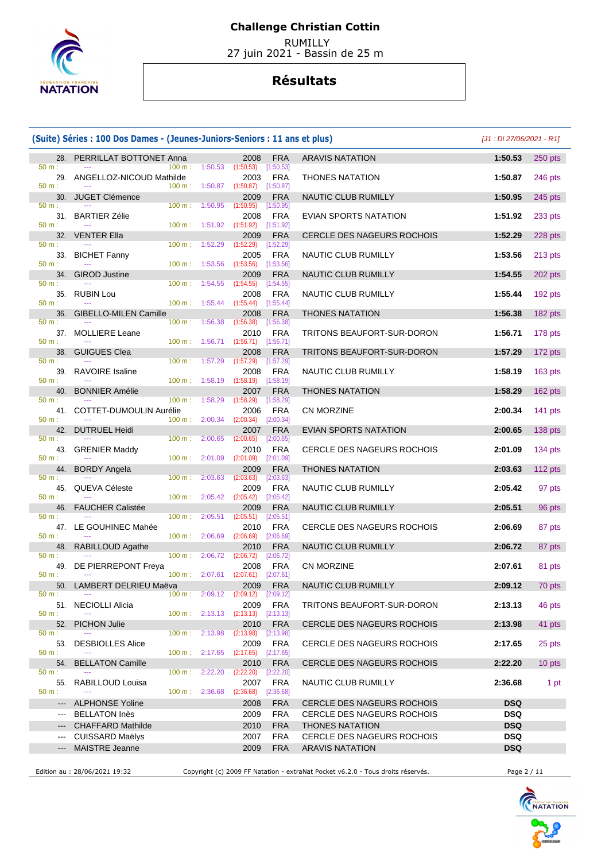

 RUMILLY 27 juin 2021 - Bassin de 25 m

## **Résultats**

|                        | (Suite) Séries : 100 Dos Dames - (Jeunes-Juniors-Seniors : 11 ans et plus) |                   |                                      |                                                  |                           |                                                      | $[J1:Di 27/06/2021 - R1]$ |           |
|------------------------|----------------------------------------------------------------------------|-------------------|--------------------------------------|--------------------------------------------------|---------------------------|------------------------------------------------------|---------------------------|-----------|
| $50 m$ :               | 28. PERRILLAT BOTTONET Anna                                                | 100 m:            | 1:50.53                              | 2008<br>(1:50.53)                                | <b>FRA</b><br>[1:50.53]   | <b>ARAVIS NATATION</b>                               | 1:50.53                   | $250$ pts |
| 29.<br>$50 m$ :        | ANGELLOZ-NICOUD Mathilde                                                   | 100 m:            | 1:50.87                              | 2003<br>(1:50.87)                                | <b>FRA</b><br>[1:50.87]   | <b>THONES NATATION</b>                               | 1:50.87                   | 246 pts   |
| 30.                    | <b>JUGET Clémence</b>                                                      |                   |                                      | 2009                                             | <b>FRA</b>                | NAUTIC CLUB RUMILLY                                  | 1:50.95                   | 245 pts   |
| $50 m$ :               |                                                                            | $100 \text{ m}$ : |                                      | 1:50.95 (1:50.95)                                | $[1:50.95]$               |                                                      |                           |           |
| 50 m:                  | 31. BARTIER Zélie                                                          |                   | 100 m: 1:51.92                       | 2008<br>(1:51.92)                                | FRA<br>$[1:51.92]$        | EVIAN SPORTS NATATION                                | 1:51.92                   | 233 pts   |
| 32.                    | <b>VENTER Ella</b>                                                         |                   |                                      | 2009                                             | <b>FRA</b>                | CERCLE DES NAGEURS ROCHOIS                           | 1:52.29                   | 228 pts   |
| $50 m$ :<br>33.        | <b>BICHET Fanny</b>                                                        |                   | $100 \text{ m}: 1:52.29$             | (1:52.29)<br>2005                                | [1:52.29]<br><b>FRA</b>   | NAUTIC CLUB RUMILLY                                  | 1:53.56                   | 213 pts   |
| 50 m:                  |                                                                            |                   | $100 \text{ m}: 1:53.56$ $(1:53.56)$ |                                                  | [1:53.56]                 |                                                      |                           |           |
| 34.                    | <b>GIROD Justine</b>                                                       |                   |                                      | 2009                                             | <b>FRA</b>                | NAUTIC CLUB RUMILLY                                  | 1:54.55                   | 202 pts   |
| $50 m$ :<br>35.        | <b>RUBIN Lou</b>                                                           | $100 \text{ m}$ : | 1:54.55                              | (1:54.55)<br>2008                                | [1:54.55]<br>FRA          | NAUTIC CLUB RUMILLY                                  | 1:55.44                   | $192$ pts |
| 50 m:                  | $-$                                                                        |                   | $100 \text{ m}: 1:55.44$             | (1:55.44)                                        | $[1:55.44]$               |                                                      |                           |           |
| 36.<br>50 m:           | <b>GIBELLO-MILEN Camille</b>                                               | $100 m$ :         | 1:56.38                              | 2008<br>(1:56.38)                                | <b>FRA</b><br>[1:56.38]   | <b>THONES NATATION</b>                               | 1:56.38                   | 182 pts   |
|                        | 37. MOLLIERE Leane                                                         |                   |                                      | 2010                                             | FRA                       | TRITONS BEAUFORT-SUR-DORON                           | 1:56.71                   | 178 pts   |
| $50 m$ :               |                                                                            |                   |                                      | 100 m : 1:56.71 (1:56.71) [1:56.71]              |                           |                                                      |                           |           |
| 38.<br>50 m:           | <b>GUIGUES Clea</b>                                                        |                   | 100 m: 1:57.29                       | 2008<br>(1:57.29)                                | <b>FRA</b><br>[1:57.29]   | TRITONS BEAUFORT-SUR-DORON                           | 1:57.29                   | 172 pts   |
| 39.                    | <b>RAVOIRE</b> Isaline                                                     |                   |                                      | 2008                                             | <b>FRA</b>                | NAUTIC CLUB RUMILLY                                  | 1:58.19                   | 163 pts   |
| $50 m$ :<br>40.        |                                                                            |                   |                                      | $100 \text{ m}: 1:58.19$ $(1:58.19)$             | [1:58.19]                 |                                                      |                           |           |
| $50 m$ :               | <b>BONNIER Amélie</b>                                                      |                   | 100 m: 1:58.29                       | 2007<br>(1:58.29)                                | <b>FRA</b><br>[1:58.29]   | <b>THONES NATATION</b>                               | 1:58.29                   | 162 pts   |
| 41.                    | COTTET-DUMOULIN Aurélie                                                    |                   |                                      | 2006                                             | <b>FRA</b>                | CN MORZINE                                           | 2:00.34                   | 141 pts   |
| 50 m:<br>42.           | <b>DUTRUEL Heidi</b>                                                       |                   | $100 \text{ m}: 2:00.34$             | (2:00.34)<br>2007                                | [2:00.34]<br><b>FRA</b>   | EVIAN SPORTS NATATION                                | 2:00.65                   | 138 pts   |
| $50 m$ :               |                                                                            | $100 \text{ m}$ : | 2:00.65                              | (2:00.65)                                        | $[2:00.65]$               |                                                      |                           |           |
|                        | 43. GRENIER Maddy                                                          |                   |                                      | 2010                                             | FRA                       | CERCLE DES NAGEURS ROCHOIS                           | 2:01.09                   | 134 pts   |
| $50 m$ :<br>44.        | <b>BORDY Angela</b>                                                        |                   | $100 \text{ m}: 2:01.09$             | (2:01.09)<br>2009                                | [2:01.09]<br><b>FRA</b>   | <b>THONES NATATION</b>                               | 2:03.63                   | 112 $pts$ |
| $50 m$ :               |                                                                            | 100 m :           | 2:03.63                              | (2:03.63)                                        | [2:03.63]                 |                                                      |                           |           |
| 45.<br>50 m:           | QUEVA Céleste                                                              |                   | $100 \text{ m}: 2:05.42$             | 2009<br>(2:05.42)                                | <b>FRA</b><br>[2:05.42]   | NAUTIC CLUB RUMILLY                                  | 2:05.42                   | 97 pts    |
| 46.                    | <b>FAUCHER Calistée</b>                                                    |                   |                                      | 2009                                             | <b>FRA</b>                | NAUTIC CLUB RUMILLY                                  | 2:05.51                   | 96 pts    |
| $50 m$ :               | $-$                                                                        | 100 m:            | 2:05.51                              | (2:05.51)                                        | [2:05.51]                 |                                                      |                           |           |
| 47.<br>50 m:           | LE GOUHINEC Mahée                                                          |                   | 100 m: 2:06.69                       | 2010<br>(2:06.69)                                | <b>FRA</b><br>[2:06.69]   | CERCLE DES NAGEURS ROCHOIS                           | 2:06.69                   | 87 pts    |
| 48.                    | <b>RABILLOUD Agathe</b>                                                    |                   |                                      | 2010                                             | <b>FRA</b>                | NAUTIC CLUB RUMILLY                                  | 2:06.72                   | 87 pts    |
| $50 m$ :               | 49. DE PIERREPONT Freya                                                    | $100 \text{ m}$ : | 2:06.72                              | (2:06.72)<br>2008                                | [2:06.72]<br><b>FRA</b>   | <b>CN MORZINE</b>                                    | 2:07.61                   | 81 pts    |
| 50 m:                  | $- - -$                                                                    |                   |                                      | $100 \text{ m}: 2:07.61$ $(2:07.61)$ $[2:07.61]$ |                           |                                                      |                           |           |
| 50.                    | LAMBERT DELRIEU Maëva                                                      |                   |                                      | 2009                                             | <b>FRA</b>                | NAUTIC CLUB RUMILLY                                  | 2:09.12                   | 70 pts    |
| 50 m:                  | 51. NECIOLLI Alicia                                                        |                   | $100 \text{ m}: 2:09.12$             | (2:09.12)<br>2009                                | [2:09.12]<br><b>FRA</b>   | TRITONS BEAUFORT-SUR-DORON                           | 2:13.13                   | 46 pts    |
| 50 m:                  |                                                                            |                   | 100 m: 2:13.13                       | (2:13.13)                                        | [2:13.13]                 |                                                      |                           |           |
| 52.<br>$50 m$ :        | <b>PICHON Julie</b>                                                        | 100 m :           | 2:13.98                              | 2010<br>(2:13.98)                                | <b>FRA</b>                | <b>CERCLE DES NAGEURS ROCHOIS</b>                    | 2:13.98                   | 41 pts    |
| 53.                    | <b>DESBIOLLES Alice</b>                                                    |                   |                                      | 2009                                             | [2:13.98]<br>FRA          | CERCLE DES NAGEURS ROCHOIS                           | 2:17.65                   | 25 pts    |
| 50 m:                  | 444                                                                        |                   | 100 m: 2:17.65                       | (2:17.65)                                        | [2:17.65]                 |                                                      |                           |           |
| 54.<br>$50 m$ :        | <b>BELLATON Camille</b>                                                    | 100 m :           | 2:22.20                              | 2010<br>(2:22.20)                                | <b>FRA</b><br>$[2:22.20]$ | CERCLE DES NAGEURS ROCHOIS                           | 2:22.20                   | 10 pts    |
| 55.                    | RABILLOUD Louisa                                                           |                   |                                      | 2007                                             | FRA                       | NAUTIC CLUB RUMILLY                                  | 2:36.68                   | 1 pt      |
| $50 m$ :               |                                                                            |                   | 100 m: 2:36.68                       | (2:36.68)                                        | [2:36.68]                 |                                                      |                           |           |
| $\qquad \qquad - -$    | <b>ALPHONSE Yoline</b>                                                     |                   |                                      | 2008                                             | <b>FRA</b>                | CERCLE DES NAGEURS ROCHOIS                           | <b>DSQ</b>                |           |
| $\qquad \qquad \cdots$ | <b>BELLATON Inès</b><br><b>CHAFFARD Mathilde</b>                           |                   |                                      | 2009<br>2010                                     | <b>FRA</b><br><b>FRA</b>  | CERCLE DES NAGEURS ROCHOIS<br><b>THONES NATATION</b> | <b>DSQ</b><br><b>DSQ</b>  |           |
| $\qquad \qquad -$      | <b>CUISSARD Maëlys</b>                                                     |                   |                                      | 2007                                             | <b>FRA</b>                | CERCLE DES NAGEURS ROCHOIS                           | <b>DSQ</b>                |           |
| ---                    | MAISTRE Jeanne                                                             |                   |                                      | 2009                                             | <b>FRA</b>                | <b>ARAVIS NATATION</b>                               | <b>DSQ</b>                |           |
|                        |                                                                            |                   |                                      |                                                  |                           |                                                      |                           |           |

Edition au : 28/06/2021 19:32 Copyright (c) 2009 FF Natation - extraNat Pocket v6.2.0 - Tous droits réservés. Page 2 / 11

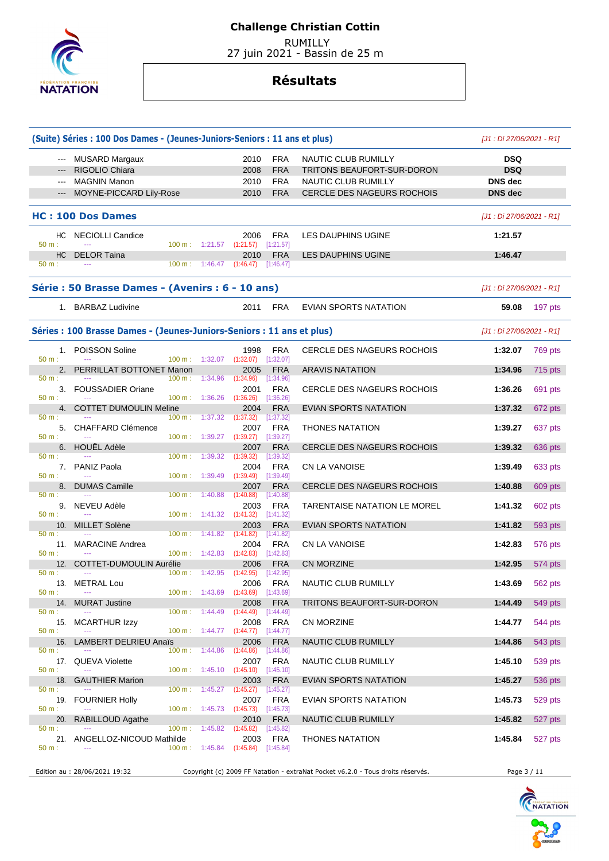

 RUMILLY 27 juin 2021 - Bassin de 25 m

|                             | (Suite) Séries : 100 Dos Dames - (Jeunes-Juniors-Seniors : 11 ans et plus) |                             |                                                        |                                                               |                                      |                                                                                 | $[J1:Di 27/06/2021 - R1]$ |         |
|-----------------------------|----------------------------------------------------------------------------|-----------------------------|--------------------------------------------------------|---------------------------------------------------------------|--------------------------------------|---------------------------------------------------------------------------------|---------------------------|---------|
| $\cdots$                    | MUSARD Margaux                                                             |                             |                                                        | 2010                                                          | <b>FRA</b>                           | NAUTIC CLUB RUMILLY                                                             | <b>DSQ</b>                |         |
|                             | RIGOLIO Chiara                                                             |                             |                                                        | 2008                                                          | <b>FRA</b>                           | TRITONS BEAUFORT-SUR-DORON                                                      | <b>DSQ</b>                |         |
| $\sim$ $\sim$ $\sim$        | <b>MAGNIN Manon</b>                                                        |                             |                                                        | 2010                                                          | <b>FRA</b>                           | NAUTIC CLUB RUMILLY                                                             | <b>DNS</b> dec            |         |
|                             | MOYNE-PICCARD Lily-Rose                                                    |                             |                                                        | 2010                                                          | <b>FRA</b>                           | CERCLE DES NAGEURS ROCHOIS                                                      | <b>DNS</b> dec            |         |
|                             | <b>HC: 100 Dos Dames</b>                                                   |                             |                                                        |                                                               |                                      |                                                                                 | $[J1:Di 27/06/2021 - R1]$ |         |
| 50 m:                       | HC NECIOLLI Candice                                                        |                             |                                                        | 2006<br>100 m: 1:21.57 (1:21.57) [1:21.57]                    | FRA                                  | LES DAUPHINS UGINE                                                              | 1:21.57                   |         |
| HC.<br>$50 m$ :             | <b>DELOR Taina</b>                                                         |                             |                                                        | 2010<br>100 m : 1:46.47 (1:46.47) [1:46.47]                   | <b>FRA</b>                           | LES DAUPHINS UGINE                                                              | 1:46.47                   |         |
|                             | Série : 50 Brasse Dames - (Avenirs : 6 - 10 ans)                           |                             |                                                        |                                                               |                                      |                                                                                 | [J1 : Di 27/06/2021 - R1] |         |
|                             | 1. BARBAZ Ludivine                                                         |                             |                                                        | 2011                                                          | <b>FRA</b>                           | EVIAN SPORTS NATATION                                                           | 59.08                     | 197 pts |
|                             | Séries : 100 Brasse Dames - (Jeunes-Juniors-Seniors : 11 ans et plus)      |                             |                                                        |                                                               |                                      |                                                                                 | $[J1:Di 27/06/2021 - R1]$ |         |
|                             | 1. POISSON Soline                                                          |                             |                                                        | 1998                                                          | <b>FRA</b>                           | CERCLE DES NAGEURS ROCHOIS                                                      | 1:32.07                   | 769 pts |
| $50 m$ :<br>$50 m$ :        | 2. PERRILLAT BOTTONET Manon                                                | $100 m$ : 1:32.07<br>100 m: | 1:34.96                                                | $(1:32.07)$ $[1:32.07]$<br>2005<br>(1:34.96)                  | <b>FRA</b><br>[1:34.96]              | <b>ARAVIS NATATION</b>                                                          | 1:34.96                   | 715 pts |
| 3.<br>$50 m$ :              | <b>FOUSSADIER Oriane</b>                                                   | 100 m: 1:36.26              |                                                        | 2001<br>(1:36.26)                                             | FRA<br>$[1:36.26]$                   | CERCLE DES NAGEURS ROCHOIS                                                      | 1:36.26                   | 691 pts |
| 50 m:                       | 4. COTTET DUMOULIN Meline                                                  |                             | 100 m: 1:37.32                                         | 2004<br>(1:37.32)                                             | <b>FRA</b><br>[1:37.32]              | EVIAN SPORTS NATATION                                                           | 1:37.32                   | 672 pts |
| 50 m:                       | 5. CHAFFARD Clémence                                                       |                             | $100 \text{ m}: 1:39.27$ $(1:39.27)$                   | 2007                                                          | <b>FRA</b><br>[1:39.27]              | <b>THONES NATATION</b>                                                          | 1:39.27                   | 637 pts |
| 50 m:                       | 6. HOUËL Adèle                                                             | $100 \text{ m}$ :           | 1:39.32                                                | 2007<br>(1:39.32)                                             | <b>FRA</b><br>[1:39.32]              | CERCLE DES NAGEURS ROCHOIS                                                      | 1:39.32                   | 636 pts |
| 50 m:                       | 7. PANIZ Paola                                                             |                             | 100 m : 1:39.49 (1:39.49)                              | 2004                                                          | <b>FRA</b><br>[1:39.49]              | CN LA VANOISE                                                                   | 1:39.49                   | 633 pts |
| 8.<br>50 m:                 | <b>DUMAS Camille</b><br>$\sim$                                             | 100 m:                      | 1:40.88                                                | 2007<br>(1:40.88)                                             | <b>FRA</b><br>[1:40.88]              | CERCLE DES NAGEURS ROCHOIS                                                      | 1:40.88                   | 609 pts |
| 50 m:                       | 9. NEVEU Adèle                                                             |                             | $100 \text{ m}: 1:41.32 (1:41.32)$                     | 2003                                                          | FRA<br>$[1:41.32]$                   | TARENTAISE NATATION LE MOREL                                                    | 1:41.32                   | 602 pts |
| 10.                         | MILLET Solène                                                              |                             |                                                        | 2003                                                          | <b>FRA</b>                           | EVIAN SPORTS NATATION                                                           | 1:41.82                   | 593 pts |
| 50 m:<br>50 m:              | 11. MARACINE Andrea                                                        |                             | $100 \text{ m}: 1:41.82$ $(1:41.82)$<br>100 m: 1:42.83 | 2004<br>(1:42.83)                                             | [1:41.82]<br><b>FRA</b><br>[1:42.83] | <b>CN LA VANOISE</b>                                                            | 1:42.83                   | 576 pts |
|                             | 12. COTTET-DUMOULIN Aurélie                                                |                             |                                                        | 2006                                                          | <b>FRA</b>                           | <b>CN MORZINE</b>                                                               | 1:42.95                   | 574 pts |
| 50 m:<br>13.<br>50 m:       | <b>METRAL Lou</b><br>---                                                   |                             | $100 \text{ m}: 1:42.95$                               | $(1:42.95)$ $[1:42.95]$<br>100 m: 1:43.69 (1:43.69) [1:43.69] | 2006 FRA                             | NAUTIC CLUB RUMILLY                                                             | 1:43.69                   | 562 pts |
| 14.                         | <b>MURAT Justine</b>                                                       |                             |                                                        | 2008                                                          | <b>FRA</b>                           | TRITONS BEAUFORT-SUR-DORON                                                      | 1:44.49                   | 549 pts |
| $50 m$ :<br>15.<br>$50 m$ : | <b>MCARTHUR Izzy</b>                                                       | 100 m:                      | 1:44.49                                                | (1:44.49)<br>2008                                             | $[1:44.49]$<br>FRA                   | <b>CN MORZINE</b>                                                               | 1:44.77                   | 544 pts |
| 16.                         | <b>LAMBERT DELRIEU Anaïs</b>                                               |                             |                                                        | 100 m : 1:44.77 (1:44.77) [1:44.77]<br>2006                   | <b>FRA</b>                           | NAUTIC CLUB RUMILLY                                                             | 1:44.86                   | 543 pts |
| 50 m:                       | 17. QUEVA Violette                                                         | $100 \text{ m}: 1:44.86$    |                                                        | (1:44.86)<br>2007                                             | [1:44.86]<br>FRA                     | NAUTIC CLUB RUMILLY                                                             | 1:45.10                   | 539 pts |
| 50 m:<br>18.                | <b>GAUTHIER Marion</b>                                                     |                             | $100 \text{ m}: 1:45.10 (1:45.10)$                     | 2003                                                          | [1:45.10]<br><b>FRA</b>              | EVIAN SPORTS NATATION                                                           | 1:45.27                   | 536 pts |
| $50 m$ :<br>19.             | <b>FOURNIER Holly</b>                                                      |                             | $100 \text{ m}: 1:45.27 (1:45.27)$                     | 2007                                                          | [1:45.27]<br><b>FRA</b>              | EVIAN SPORTS NATATION                                                           | 1:45.73                   | 529 pts |
| 50 m:<br>20.                | RABILLOUD Agathe                                                           |                             | 100 m : 1:45.73 (1:45.73)                              | 2010                                                          | $[1:45.73]$<br><b>FRA</b>            | NAUTIC CLUB RUMILLY                                                             | 1:45.82                   | 527 pts |
| $50 m$ :                    |                                                                            | 100 m:                      | 1:45.82                                                | (1:45.82)                                                     | [1:45.82]                            |                                                                                 |                           |         |
| $50 m$ :                    | 21. ANGELLOZ-NICOUD Mathilde                                               |                             |                                                        | 2003<br>100 m : 1:45.84 (1:45.84) [1:45.84]                   | <b>FRA</b>                           | <b>THONES NATATION</b>                                                          | 1:45.84                   | 527 pts |
|                             | Edition au : 28/06/2021 19:32                                              |                             |                                                        |                                                               |                                      | Copyright (c) 2009 FF Natation - extraNat Pocket v6.2.0 - Tous droits réservés. | Page 3 / 11               |         |

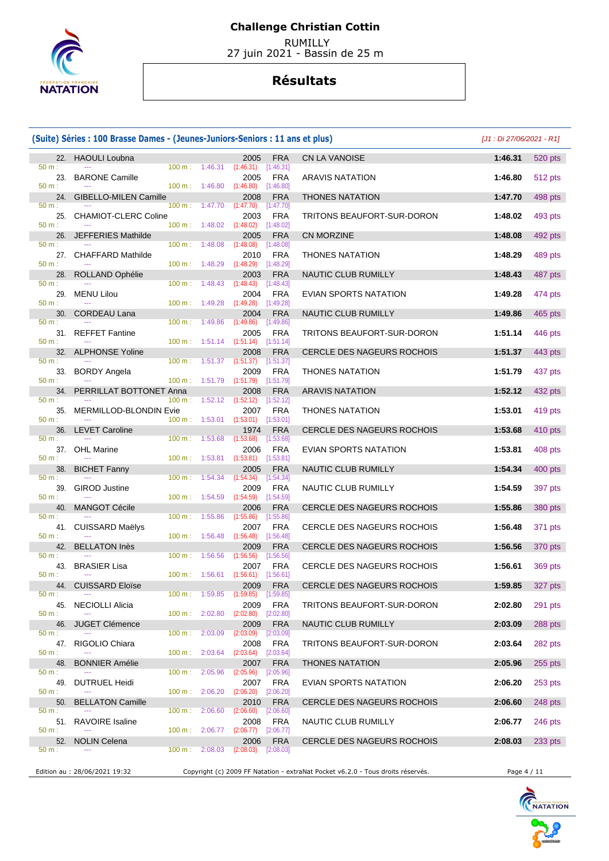

 RUMILLY 27 juin 2021 - Bassin de 25 m

|                             | (Suite) Séries : 100 Brasse Dames - (Jeunes-Juniors-Seniors : 11 ans et plus) |                                |                                                                |                                                                    |                                        |                                                                                 | [J1 : Di 27/06/2021 - R1] |                 |
|-----------------------------|-------------------------------------------------------------------------------|--------------------------------|----------------------------------------------------------------|--------------------------------------------------------------------|----------------------------------------|---------------------------------------------------------------------------------|---------------------------|-----------------|
|                             | 22. HAOULI Loubna                                                             |                                |                                                                | 2005                                                               | <b>FRA</b>                             | <b>CN LA VANOISE</b>                                                            | 1:46.31                   | 520 pts         |
| 50 m:<br>23.<br>50 m:       | <b>BARONE Camille</b>                                                         |                                | $100 \text{ m}: 1:46.31 (1:46.31)$<br>$100 \text{ m}: 1:46.80$ | 2005<br>(1:46.80)                                                  | [1:46.31]<br><b>FRA</b><br>[1:46.80]   | <b>ARAVIS NATATION</b>                                                          | 1:46.80                   | 512 pts         |
| 24.                         | <b>GIBELLO-MILEN Camille</b>                                                  |                                |                                                                | 2008                                                               | <b>FRA</b>                             | <b>THONES NATATION</b>                                                          | 1:47.70                   | 498 pts         |
| $50 m$ :<br>25.<br>50 m:    | <b>CHAMIOT-CLERC Coline</b>                                                   | $100 \text{ m}$ :              | 1:47.70<br>100 m: 1:48.02                                      | (1:47.70)<br>2003<br>(1:48.02)                                     | $[1:47.70]$<br><b>FRA</b><br>[1:48.02] | TRITONS BEAUFORT-SUR-DORON                                                      | 1:48.02                   | 493 pts         |
|                             | 26. JEFFERIES Mathilde                                                        |                                |                                                                | 2005                                                               | <b>FRA</b>                             | <b>CN MORZINE</b>                                                               | 1:48.08                   | 492 pts         |
| $50 m$ :<br>27.<br>50 m:    | <b>CHAFFARD Mathilde</b>                                                      |                                | 100 m: 1:48.08<br>$100 \text{ m}: 1:48.29$                     | (1:48.08)<br>2010<br>(1:48.29)                                     | [1:48.08]<br><b>FRA</b><br>[1:48.29]   | <b>THONES NATATION</b>                                                          | 1:48.29                   | 489 pts         |
| 28.                         | ROLLAND Ophélie                                                               |                                |                                                                | 2003                                                               | <b>FRA</b>                             | NAUTIC CLUB RUMILLY                                                             | 1:48.43                   | 487 pts         |
| 50 m:<br>29.                | <b>MENU Lilou</b>                                                             | 100 m:                         | 1:48.43                                                        | (1:48.43)<br>2004                                                  | [1:48.43]<br><b>FRA</b>                | EVIAN SPORTS NATATION                                                           | 1:49.28                   | 474 pts         |
| $50 m$ :<br>30.             | <b>CORDEAU Lana</b>                                                           |                                | $100 \text{ m}: 1:49.28$                                       | (1:49.28)<br>2004                                                  | [1:49.28]<br><b>FRA</b>                | NAUTIC CLUB RUMILLY                                                             | 1:49.86                   | 465 pts         |
| 50 m:                       | 31. REFFET Fantine                                                            | 100 m:                         | 1:49.86                                                        | (1:49.86)<br>2005                                                  | [1:49.86]<br><b>FRA</b>                | TRITONS BEAUFORT-SUR-DORON                                                      | 1:51.14                   | 446 pts         |
| 50 m:                       | 32. ALPHONSE Yoline                                                           | 100 m:                         |                                                                | $1:51.14$ $(1:51.14)$ $[1:51.14]$<br>2008                          | <b>FRA</b>                             | <b>CERCLE DES NAGEURS ROCHOIS</b>                                               | 1:51.37                   | 443 pts         |
| 50 m:<br>33.                | <b>BORDY Angela</b>                                                           |                                | $100 \text{ m}: 1:51.37$ $(1:51.37)$                           | 2009                                                               | [1:51.37]<br><b>FRA</b>                | <b>THONES NATATION</b>                                                          | 1:51.79                   | 437 pts         |
| 50 m:<br>34.                | PERRILLAT BOTTONET Anna                                                       | 100 m:                         | 1:51.79                                                        | (1:51.79)<br>2008                                                  | [1:51.79]<br><b>FRA</b>                | <b>ARAVIS NATATION</b>                                                          | 1:52.12                   | 432 pts         |
| 50 m:<br>35.                | <b>MERMILLOD-BLONDIN Evie</b>                                                 | 100 m:                         | 1:52.12                                                        | (1:52.12)<br>2007                                                  | [1:52.12]<br><b>FRA</b>                | <b>THONES NATATION</b>                                                          | 1:53.01                   | 419 pts         |
| $50 m$ :<br>36.             | <b>LEVET Caroline</b>                                                         | 100 m:                         | 1:53.01                                                        | (1:53.01)<br>1974                                                  | [1:53.01]<br><b>FRA</b>                | CERCLE DES NAGEURS ROCHOIS                                                      | 1:53.68                   | 410 pts         |
| 50 m:                       |                                                                               | 100 m :                        | 1:53.68                                                        | (1:53.68)                                                          | [1:53.68]                              |                                                                                 |                           |                 |
| 37.<br>50 m:                | <b>OHL Marine</b>                                                             | 100 m:                         | 1:53.81                                                        | 2006<br>(1:53.81)                                                  | <b>FRA</b><br>[1:53.81]                | EVIAN SPORTS NATATION                                                           | 1:53.81                   | 408 pts         |
| 38.<br>$50 m$ :             | <b>BICHET Fanny</b>                                                           | 100 m:                         | 1:54.34                                                        | 2005<br>(1:54.34)                                                  | <b>FRA</b><br>[1:54.34]                | NAUTIC CLUB RUMILLY                                                             | 1:54.34                   | 400 pts         |
| 39.<br>50 m:                | <b>GIROD Justine</b>                                                          |                                | $100 \text{ m}: 1:54.59$                                       | 2009<br>(1:54.59)                                                  | <b>FRA</b><br>[1:54.59]                | NAUTIC CLUB RUMILLY                                                             | 1:54.59                   | 397 pts         |
| 40.                         | <b>MANGOT Cécile</b>                                                          |                                |                                                                | 2006                                                               | <b>FRA</b>                             | CERCLE DES NAGEURS ROCHOIS                                                      | 1:55.86                   | 380 pts         |
| 50 m:<br>$50 m$ :           | 41. CUISSARD Maëlys                                                           | 100 m:                         | 1:55.86<br>$100 \text{ m}: 1:56.48$                            | (1:55.86)<br>2007<br>(1:56.48)                                     | [1:55.86]<br><b>FRA</b><br>[1:56.48]   | CERCLE DES NAGEURS ROCHOIS                                                      | 1:56.48                   | 371 pts         |
| 42.                         | <b>BELLATON Inès</b>                                                          |                                |                                                                | 2009                                                               | <b>FRA</b>                             | CERCLE DES NAGEURS ROCHOIS                                                      | 1:56.56                   | 370 pts         |
| $50 m$ :<br>43.<br>50 m:    | <b>BRASIER Lisa</b>                                                           | 100 m:                         | 1:56.56                                                        | (1:56.56)<br>2007<br>$100 \text{ m}$ : 1:56.61 (1:56.61) [1:56.61] | [1:56.56]<br><b>FRA</b>                | CERCLE DES NAGEURS ROCHOIS                                                      | 1:56.61                   | 369 pts         |
|                             | 44. CUISSARD Eloïse                                                           |                                |                                                                |                                                                    | 2009 FRA                               | CERCLE DES NAGEURS ROCHOIS                                                      |                           | 1:59.85 327 pts |
| 50 m:<br>45.<br>50 m:       | <b>NECIOLLI Alicia</b>                                                        |                                | $100 \text{ m}: 1:59.85$<br>$100 \text{ m}: 2:02.80$           | (1:59.85)<br>2009<br>(2:02.80)                                     | [1:59.85]<br><b>FRA</b><br>[2:02.80]   | TRITONS BEAUFORT-SUR-DORON                                                      | 2:02.80                   | $291$ pts       |
| 46.                         | <b>JUGET Clémence</b>                                                         |                                |                                                                | 2009                                                               | <b>FRA</b>                             | NAUTIC CLUB RUMILLY                                                             | 2:03.09                   | 288 pts         |
| $50 m$ :<br>47.<br>$50 m$ : | RIGOLIO Chiara                                                                | 100 m:                         | 2:03.09<br>$100 \text{ m}: 2:03.64$                            | (2:03.09)<br>2008<br>(2:03.64)                                     | [2:03.09]<br><b>FRA</b><br>[2:03.64]   | TRITONS BEAUFORT-SUR-DORON                                                      | 2:03.64                   | 282 pts         |
| 48.                         | <b>BONNIER Amélie</b>                                                         |                                |                                                                | 2007                                                               | <b>FRA</b>                             | <b>THONES NATATION</b>                                                          | 2:05.96                   | $255$ pts       |
| $50 m$ :<br>49.<br>50 m:    | DUTRUEL Heidi                                                                 | $100 \text{ m}$ :<br>$100 m$ : | 2:05.96<br>2:06.20                                             | (2:05.96)<br>2007<br>(2:06.20)                                     | [2:05.96]<br>FRA<br>[2:06.20]          | EVIAN SPORTS NATATION                                                           | 2:06.20                   | 253 pts         |
| 50.                         | <b>BELLATON Camille</b>                                                       |                                |                                                                | 2010                                                               | <b>FRA</b>                             | CERCLE DES NAGEURS ROCHOIS                                                      | 2:06.60                   | $248$ pts       |
| 50 m:<br>51.                | <b>RAVOIRE Isaline</b>                                                        |                                | 100 m: 2:06.60                                                 | (2:06.60)<br>2008                                                  | [2:06.60]<br><b>FRA</b>                | NAUTIC CLUB RUMILLY                                                             | 2:06.77                   | 246 pts         |
| $50 m$ :<br>52.             | <b>NOLIN Celena</b>                                                           |                                | 100 m: 2:06.77                                                 | (2:06.77)<br>2006                                                  | [2:06.77]<br><b>FRA</b>                | CERCLE DES NAGEURS ROCHOIS                                                      | 2:08.03                   | 233 pts         |
| 50 m:                       |                                                                               | 100 m:                         | 2:08.03                                                        | (2:08.03)                                                          | [2:08.03]                              |                                                                                 |                           |                 |
|                             | Edition au : 28/06/2021 19:32                                                 |                                |                                                                |                                                                    |                                        | Copyright (c) 2009 FF Natation - extraNat Pocket v6.2.0 - Tous droits réservés. | Page 4 / 11               |                 |

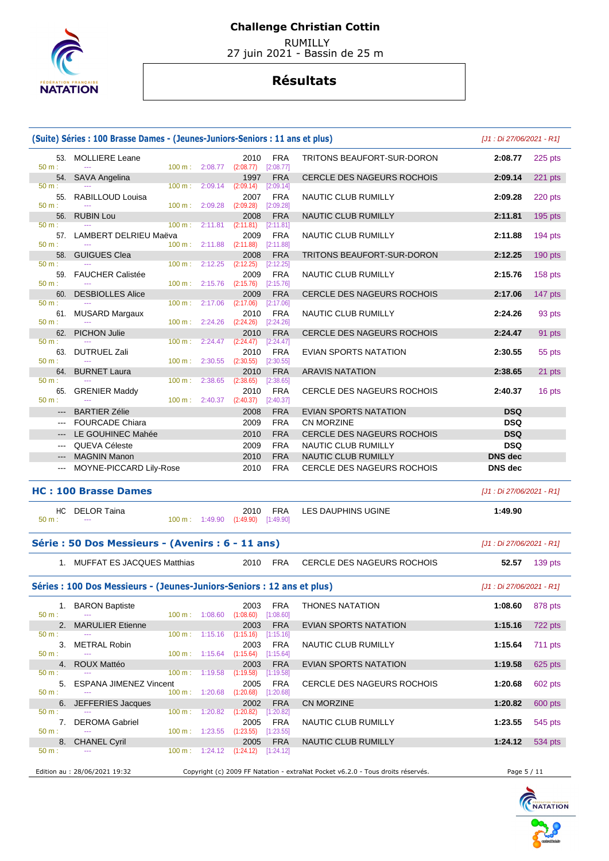

 RUMILLY 27 juin 2021 - Bassin de 25 m

|                                                                                                | (Suite) Séries : 100 Brasse Dames - (Jeunes-Juniors-Seniors : 11 ans et plus)<br>[J1: Di 27/06/2021 - R1] |                                    |         |                                    |                          |                                                                                 |                              |           |  |  |  |  |  |
|------------------------------------------------------------------------------------------------|-----------------------------------------------------------------------------------------------------------|------------------------------------|---------|------------------------------------|--------------------------|---------------------------------------------------------------------------------|------------------------------|-----------|--|--|--|--|--|
| 50 m:                                                                                          | 53. MOLLIERE Leane<br>$\sim$                                                                              | 100 m: 2:08.77                     |         | 2010<br>(2:08.77)                  | <b>FRA</b><br>[2:08.77]  | TRITONS BEAUFORT-SUR-DORON                                                      | 2:08.77                      | 225 pts   |  |  |  |  |  |
| 54.                                                                                            | <b>SAVA Angelina</b>                                                                                      |                                    |         | 1997                               | <b>FRA</b>               | <b>CERCLE DES NAGEURS ROCHOIS</b>                                               | 2:09.14                      | $221$ pts |  |  |  |  |  |
| 50 m:                                                                                          | 55. RABILLOUD Louisa                                                                                      | $100 \text{ m}$ :                  | 2:09.14 | (2:09.14)<br>2007                  | [2:09.14]<br><b>FRA</b>  | <b>NAUTIC CLUB RUMILLY</b>                                                      | 2:09.28                      | 220 pts   |  |  |  |  |  |
| $50 m$ :                                                                                       |                                                                                                           | 100 m: 2:09.28                     |         | (2:09.28)                          | [2:09.28]                |                                                                                 |                              |           |  |  |  |  |  |
| 56.<br>$50 m$ :                                                                                | <b>RUBIN Lou</b>                                                                                          | $100 \text{ m}$ :                  | 2:11.81 | 2008<br>(2:11.81)                  | <b>FRA</b><br>[2:11.81]  | <b>NAUTIC CLUB RUMILLY</b>                                                      | 2:11.81                      | $195$ pts |  |  |  |  |  |
| 50 m:                                                                                          | 57. LAMBERT DELRIEU Maëva                                                                                 | $100 \text{ m}$ :                  | 2:11.88 | 2009                               | <b>FRA</b>               | NAUTIC CLUB RUMILLY                                                             | 2:11.88                      | $194$ pts |  |  |  |  |  |
| 58.                                                                                            | <b>GUIGUES Clea</b>                                                                                       |                                    |         | (2:11.88)<br>2008                  | [2:11.88]<br><b>FRA</b>  | <b>TRITONS BEAUFORT-SUR-DORON</b>                                               | 2:12.25                      | 190 pts   |  |  |  |  |  |
| 50 m:<br>59.                                                                                   | $\sim$<br><b>FAUCHER Calistée</b>                                                                         | $100 \text{ m}$ :                  | 2:12.25 | (2:12.25)<br>2009                  | [2:12.25]<br><b>FRA</b>  | NAUTIC CLUB RUMILLY                                                             | 2:15.76                      | 158 pts   |  |  |  |  |  |
| $50 m$ :                                                                                       | $\sim$                                                                                                    | $100 \text{ m}$ :                  | 2:15.76 | (2:15.76)                          | [2:15.76]                |                                                                                 |                              |           |  |  |  |  |  |
| 60.<br>50 m:                                                                                   | <b>DESBIOLLES Alice</b>                                                                                   | $100 \text{ m}$ :                  | 2:17.06 | 2009<br>(2:17.06)                  | <b>FRA</b><br>[2:17.06]  | <b>CERCLE DES NAGEURS ROCHOIS</b>                                               | 2:17.06                      | 147 pts   |  |  |  |  |  |
|                                                                                                | 61. MUSARD Margaux                                                                                        |                                    |         | 2010                               | <b>FRA</b>               | NAUTIC CLUB RUMILLY                                                             | 2:24.26                      | 93 pts    |  |  |  |  |  |
| 50 m:<br>62.                                                                                   | <b>PICHON Julie</b>                                                                                       | $100 m$ : 2:24.26                  |         | (2:24.26)<br>2010                  | [2:24.26]<br><b>FRA</b>  | <b>CERCLE DES NAGEURS ROCHOIS</b>                                               | 2:24.47                      | 91 pts    |  |  |  |  |  |
| 50 m:                                                                                          |                                                                                                           | 100 m:                             | 2:24.47 | (2:24.47)                          | [2:24.47]                |                                                                                 |                              |           |  |  |  |  |  |
| 63.<br>50 m:                                                                                   | <b>DUTRUEL Zali</b>                                                                                       | 100 m:                             | 2:30.55 | 2010<br>(2:30.55)                  | <b>FRA</b><br>[2:30.55]  | EVIAN SPORTS NATATION                                                           | 2:30.55                      | 55 pts    |  |  |  |  |  |
| 64.                                                                                            | <b>BURNET Laura</b>                                                                                       |                                    |         | 2010                               | <b>FRA</b>               | <b>ARAVIS NATATION</b>                                                          | 2:38.65                      | 21 pts    |  |  |  |  |  |
| 50 m:<br>65.                                                                                   | <b>GRENIER Maddy</b>                                                                                      | 100 m:                             | 2:38.65 | (2:38.65)<br>2010                  | [2:38.65]<br><b>FRA</b>  | CERCLE DES NAGEURS ROCHOIS                                                      | 2:40.37                      | 16 pts    |  |  |  |  |  |
| 50 m:                                                                                          |                                                                                                           | $100 \text{ m}: 2:40.37$ (2:40.37) |         |                                    | [2:40.37]                |                                                                                 |                              |           |  |  |  |  |  |
|                                                                                                | <b>BARTIER Zélie</b>                                                                                      |                                    |         | 2008                               | <b>FRA</b>               | <b>EVIAN SPORTS NATATION</b>                                                    | <b>DSQ</b>                   |           |  |  |  |  |  |
| $\frac{1}{2} \left( \frac{1}{2} \right) \left( \frac{1}{2} \right) \left( \frac{1}{2} \right)$ | <b>FOURCADE Chiara</b>                                                                                    |                                    |         | 2009                               | <b>FRA</b>               | CN MORZINE                                                                      | <b>DSQ</b>                   |           |  |  |  |  |  |
|                                                                                                | LE GOUHINEC Mahée                                                                                         |                                    |         | 2010                               | <b>FRA</b>               | CERCLE DES NAGEURS ROCHOIS                                                      | <b>DSQ</b>                   |           |  |  |  |  |  |
| $\qquad \qquad - -$                                                                            | QUEVA Céleste<br><b>MAGNIN Manon</b>                                                                      |                                    |         | 2009<br>2010                       | <b>FRA</b><br><b>FRA</b> | NAUTIC CLUB RUMILLY<br>NAUTIC CLUB RUMILLY                                      | <b>DSQ</b><br><b>DNS</b> dec |           |  |  |  |  |  |
|                                                                                                | MOYNE-PICCARD Lily-Rose                                                                                   |                                    |         | 2010                               | <b>FRA</b>               | CERCLE DES NAGEURS ROCHOIS                                                      | <b>DNS</b> dec               |           |  |  |  |  |  |
|                                                                                                |                                                                                                           |                                    |         |                                    |                          |                                                                                 |                              |           |  |  |  |  |  |
|                                                                                                | <b>HC: 100 Brasse Dames</b>                                                                               |                                    |         |                                    |                          |                                                                                 | [J1 : Di 27/06/2021 - R1]    |           |  |  |  |  |  |
| HC.<br>$50 m$ :                                                                                | DELOR Taina                                                                                               | $100 \text{ m}: 1:49.90$           |         | 2010<br>(1:49.90)                  | <b>FRA</b><br>[1:49.90]  | LES DAUPHINS UGINE                                                              | 1:49.90                      |           |  |  |  |  |  |
|                                                                                                | Série : 50 Dos Messieurs - (Avenirs : 6 - 11 ans)                                                         |                                    |         |                                    |                          |                                                                                 | [J1 : Di 27/06/2021 - R1]    |           |  |  |  |  |  |
|                                                                                                | 1. MUFFAT ES JACQUES Matthias                                                                             |                                    |         | 2010                               | <b>FRA</b>               | <b>CERCLE DES NAGEURS ROCHOIS</b>                                               | 52.57                        | 139 pts   |  |  |  |  |  |
|                                                                                                | Séries : 100 Dos Messieurs - (Jeunes-Juniors-Seniors : 12 ans et plus)                                    |                                    |         |                                    |                          |                                                                                 | $[J1:Di 27/06/2021 - R1]$    |           |  |  |  |  |  |
|                                                                                                | 1. BARON Baptiste                                                                                         |                                    |         | 2003                               | <b>FRA</b>               | <b>THONES NATATION</b>                                                          | 1:08.60                      | 878 pts   |  |  |  |  |  |
| 50 m:<br>2.                                                                                    | $\sim$<br><b>MARULIER Etienne</b>                                                                         | 100 m: 1:08.60                     |         | (1:08.60)<br>2003                  | [1:08.60]<br><b>FRA</b>  | EVIAN SPORTS NATATION                                                           | 1:15.16                      | 722 pts   |  |  |  |  |  |
| 50 m:                                                                                          |                                                                                                           | $100 \text{ m}: 1:15.16$           |         | (1:15.16)                          | $[1:15.16] \label{eq:1}$ |                                                                                 |                              |           |  |  |  |  |  |
| 50 m:                                                                                          | 3. METRAL Robin                                                                                           | $100 \text{ m}: 1:15.64$           |         | 2003<br>(1:15.64)                  | <b>FRA</b><br>[1:15.64]  | NAUTIC CLUB RUMILLY                                                             | 1:15.64                      | 711 pts   |  |  |  |  |  |
| 4.                                                                                             | ROUX Mattéo                                                                                               |                                    |         | 2003                               | <b>FRA</b>               | <b>EVIAN SPORTS NATATION</b>                                                    | 1:19.58                      | 625 pts   |  |  |  |  |  |
| 50 m:<br>5.                                                                                    | <b>ESPANA JIMENEZ Vincent</b>                                                                             | $100 \text{ m}: 1:19.58$           |         | (1:19.58)<br>2005                  | [1:19.58]<br><b>FRA</b>  | CERCLE DES NAGEURS ROCHOIS                                                      | 1:20.68                      | 602 pts   |  |  |  |  |  |
| 50 m:                                                                                          |                                                                                                           | 100 m: 1:20.68                     |         | (1:20.68)                          | [1:20.68]                |                                                                                 |                              |           |  |  |  |  |  |
| $50 m$ :                                                                                       | 6. JEFFERIES Jacques                                                                                      | $100 \text{ m}$ :                  | 1:20.82 | 2002<br>(1:20.82)                  | <b>FRA</b><br>[1:20.82]  | CN MORZINE                                                                      | 1:20.82                      | 600 pts   |  |  |  |  |  |
| 7.                                                                                             | <b>DEROMA Gabriel</b>                                                                                     |                                    |         | 2005                               | <b>FRA</b>               | NAUTIC CLUB RUMILLY                                                             | 1:23.55                      | 545 pts   |  |  |  |  |  |
| 50 m:<br>8.                                                                                    | <b>CHANEL Cyril</b>                                                                                       | $100 \text{ m}: 1:23.55$           |         | $(1:23.55)$ $[1:23.55]$<br>2005    | <b>FRA</b>               | NAUTIC CLUB RUMILLY                                                             | 1:24.12                      | 534 pts   |  |  |  |  |  |
| 50 m:                                                                                          |                                                                                                           |                                    |         | 100 m: 1:24.12 (1:24.12) [1:24.12] |                          |                                                                                 |                              |           |  |  |  |  |  |
|                                                                                                |                                                                                                           |                                    |         |                                    |                          |                                                                                 |                              |           |  |  |  |  |  |
|                                                                                                | Edition au : 28/06/2021 19:32                                                                             |                                    |         |                                    |                          | Copyright (c) 2009 FF Natation - extraNat Pocket v6.2.0 - Tous droits réservés. | Page 5 / 11                  |           |  |  |  |  |  |

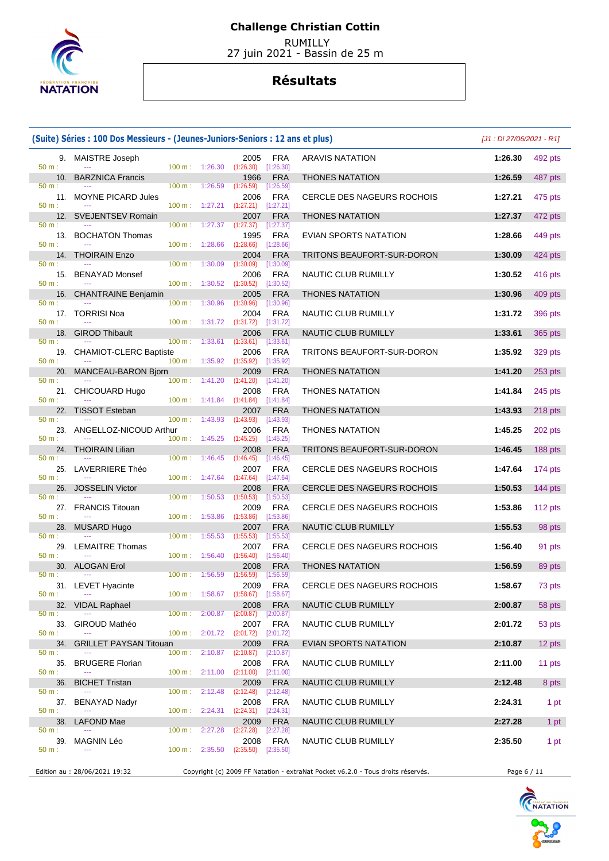

 RUMILLY 27 juin 2021 - Bassin de 25 m

|                       | (Suite) Séries : 100 Dos Messieurs - (Jeunes-Juniors-Seniors : 12 ans et plus) |                     |                                                 |                                              |                                      |                                                                                 | $[J1:Di 27/06/2021 - R1]$ |           |
|-----------------------|--------------------------------------------------------------------------------|---------------------|-------------------------------------------------|----------------------------------------------|--------------------------------------|---------------------------------------------------------------------------------|---------------------------|-----------|
| 50 m:                 | 9. MAISTRE Joseph                                                              |                     | $100 \text{ m}: 1:26.30 (1:26.30)$              | 2005                                         | FRA<br>[1:26.30]                     | <b>ARAVIS NATATION</b>                                                          | 1:26.30                   | 492 pts   |
| 10.                   | <b>BARZNICA Francis</b>                                                        |                     |                                                 | 1966                                         | <b>FRA</b>                           | <b>THONES NATATION</b>                                                          | 1:26.59                   | 487 pts   |
| 50 m:<br>11.<br>50 m: | <b>MOYNE PICARD Jules</b>                                                      | 100 m:              | 1:26.59<br>100 m: 1:27.21                       | (1:26.59)<br>2006<br>$(1:27.21)$ $[1:27.21]$ | [1:26.59]<br><b>FRA</b>              | CERCLE DES NAGEURS ROCHOIS                                                      | 1:27.21                   | 475 pts   |
| 12.                   | <b>SVEJENTSEV Romain</b>                                                       |                     |                                                 | 2007                                         | <b>FRA</b>                           | <b>THONES NATATION</b>                                                          | 1:27.37                   | 472 pts   |
| 50 m:                 | 13. BOCHATON Thomas                                                            | 100 m:              |                                                 | 1:27.37 (1:27.37)<br>1995                    | $[1:27.37]$<br><b>FRA</b>            | EVIAN SPORTS NATATION                                                           | 1:28.66                   | 449 pts   |
| 50 m:                 | 14. THOIRAIN Enzo                                                              |                     | $100 \text{ m}: 1:28.66$                        | (1:28.66)<br>2004                            | [1:28.66]<br><b>FRA</b>              | TRITONS BEAUFORT-SUR-DORON                                                      | 1:30.09                   | 424 pts   |
| 50 m:                 | 15. BENAYAD Monsef                                                             |                     | 100 m: 1:30.09                                  | (1:30.09)<br>2006                            | [1:30.09]<br><b>FRA</b>              | NAUTIC CLUB RUMILLY                                                             | 1:30.52                   | 416 pts   |
| 50 m:<br>16.          | <b>CHANTRAINE Benjamin</b>                                                     | 100 m:              | 1:30.52 (1:30.52)                               | 2005                                         | [1:30.52]<br><b>FRA</b>              | <b>THONES NATATION</b>                                                          | 1:30.96                   | 409 pts   |
| 50 m:                 |                                                                                | 100 m:              | 1:30.96                                         | (1:30.96)                                    | [1:30.96]                            |                                                                                 |                           |           |
| 50 m:                 | 17. TORRISI Noa                                                                | 100 m:              | 1:31.72                                         | 2004<br>$(1:31.72)$ $[1:31.72]$              | <b>FRA</b>                           | NAUTIC CLUB RUMILLY                                                             | 1:31.72                   | 396 pts   |
| 18.<br>50 m:          | <b>GIROD Thibault</b>                                                          | 100 m:              |                                                 | 2006<br>$1:33.61$ $(1:33.61)$ $[1:33.61]$    | <b>FRA</b>                           | NAUTIC CLUB RUMILLY                                                             | 1:33.61                   | 365 pts   |
| 50 m:                 | 19. CHAMIOT-CLERC Baptiste                                                     |                     | 100 m: 1:35.92                                  | 2006<br>(1:35.92)                            | <b>FRA</b><br>[1:35.92]              | TRITONS BEAUFORT-SUR-DORON                                                      | 1:35.92                   | 329 pts   |
| 20.                   | MANCEAU-BARON Bjorn                                                            |                     |                                                 | 2009                                         | <b>FRA</b>                           | <b>THONES NATATION</b>                                                          | 1:41.20                   | 253 pts   |
| $50 m$ :<br>50 m:     | 21. CHICOUARD Hugo                                                             | $100 m$ :           | 1:41.20<br>$100 \text{ m}: 1:41.84$ $(1:41.84)$ | (1:41.20)<br>2008                            | [1:41.20]<br><b>FRA</b><br>[1:41.84] | <b>THONES NATATION</b>                                                          | 1:41.84                   | 245 pts   |
| 22.                   | <b>TISSOT Esteban</b>                                                          |                     |                                                 | 2007                                         | <b>FRA</b>                           | <b>THONES NATATION</b>                                                          | 1:43.93                   | $218$ pts |
| 50 m:<br>50 m:        | 23. ANGELLOZ-NICOUD Arthur                                                     | 100 m:<br>100 m:    | 1:43.93<br>1:45.25                              | (1:43.93)<br>2006                            | [1:43.93]<br>FRA                     | <b>THONES NATATION</b>                                                          | 1:45.25                   | 202 pts   |
| 24.                   | <b>THOIRAIN Lilian</b>                                                         |                     |                                                 | (1:45.25)<br>2008                            | $[1:45.25]$<br><b>FRA</b>            | TRITONS BEAUFORT-SUR-DORON                                                      | 1:46.45                   | 188 pts   |
| 50 m:                 | 25. LAVERRIERE Théo                                                            | 100 m:              |                                                 | $1:46.45$ $(1:46.45)$<br>2007                | [1:46.45]<br><b>FRA</b>              | CERCLE DES NAGEURS ROCHOIS                                                      | 1:47.64                   | 174 pts   |
| 50 m:                 | 26. JOSSELIN Victor                                                            | 100 m:              | 1:47.64                                         | (1:47.64)<br>2008                            | [1:47.64]<br><b>FRA</b>              | CERCLE DES NAGEURS ROCHOIS                                                      | 1:50.53                   | 144 pts   |
| 50 m:                 |                                                                                | 100 m:              | 1:50.53                                         | (1:50.53)                                    | [1:50.53]                            |                                                                                 |                           |           |
| 50 m:                 | 27. FRANCIS Titouan                                                            | 100 m:              | 1:53.86                                         | 2009<br>(1:53.86)                            | <b>FRA</b><br>[1:53.86]              | CERCLE DES NAGEURS ROCHOIS                                                      | 1:53.86                   | 112 pts   |
| 28.                   | MUSARD Hugo                                                                    |                     |                                                 | 2007                                         | <b>FRA</b>                           | NAUTIC CLUB RUMILLY                                                             | 1:55.53                   | 98 pts    |
| 50 m:<br>29.<br>50 m: | <b>LEMAITRE Thomas</b><br>$\sim$                                               | $100 m$ :<br>100 m: | 1:55.53<br>1:56.40                              | (1:55.53)<br>2007<br>$(1:56.40)$ $[1:56.40]$ | [1:55.53]<br><b>FRA</b>              | CERCLE DES NAGEURS ROCHOIS                                                      | 1:56.40                   | 91 pts    |
|                       | 30. ALOGAN Erol                                                                |                     |                                                 | 2008                                         | <b>FRA</b>                           | <b>THONES NATATION</b>                                                          | 1:56.59                   | 89 pts    |
| 50 m:                 | 31. LEVET Hyacinte                                                             |                     |                                                 | 100 m: 1:56.59 (1:56.59) [1:56.59]           | 2009 FRA                             | CERCLE DES NAGEURS ROCHOIS                                                      | 1:58.67                   | 73 pts    |
| 50 m:<br>32.          | <b>VIDAL Raphael</b>                                                           |                     |                                                 | 100 m: 1:58.67 (1:58.67) [1:58.67]<br>2008   | <b>FRA</b>                           | NAUTIC CLUB RUMILLY                                                             | 2:00.87                   | 58 pts    |
| 50 m:                 |                                                                                |                     | $100 \text{ m}: 2:00.87$                        | (2:00.87)                                    | [2:00.87]                            |                                                                                 |                           |           |
| 33.<br>$50 m$ :       | GIROUD Mathéo                                                                  | $100 \text{ m}$ :   |                                                 | 2007<br>2:01.72 (2:01.72)                    | <b>FRA</b><br>[2:01.72]              | NAUTIC CLUB RUMILLY                                                             | 2:01.72                   | 53 pts    |
| 34.                   | <b>GRILLET PAYSAN Titouan</b>                                                  |                     |                                                 | 2009                                         | <b>FRA</b>                           | EVIAN SPORTS NATATION                                                           | 2:10.87                   | 12 pts    |
| 50 m:<br>35.<br>50 m: | <b>BRUGERE Florian</b><br>$\sim$ $\sim$                                        | 100 m:              | 2:10.87<br>100 m: 2:11.00                       | (2:10.87)<br>2008<br>(2:11.00)               | [2:10.87]<br><b>FRA</b><br>[2:11.00] | NAUTIC CLUB RUMILLY                                                             | 2:11.00                   | 11 pts    |
| 36.                   | <b>BICHET Tristan</b>                                                          |                     |                                                 | 2009                                         | <b>FRA</b>                           | NAUTIC CLUB RUMILLY                                                             | 2:12.48                   | 8 pts     |
| 50 m:                 | 37. BENAYAD Nadyr                                                              | $100 \text{ m}$ :   | 2:12.48                                         | $(2:12.48)$ $[2:12.48]$<br>2008              | <b>FRA</b>                           | NAUTIC CLUB RUMILLY                                                             | 2:24.31                   | 1 pt      |
| 50 m:<br>38.          | LAFOND Mae                                                                     |                     | $100 \text{ m}: 2:24.31$                        | (2:24.31)<br>2009                            | $[2:24.31]$<br><b>FRA</b>            | NAUTIC CLUB RUMILLY                                                             | 2:27.28                   | 1 pt      |
| $50 m$ :              |                                                                                | $100 \text{ m}$ :   | 2:27.28                                         | (2:27.28)                                    | $[2:27.28]$                          |                                                                                 |                           |           |
| 39.<br>50 m:          | MAGNIN Léo                                                                     |                     | $100 \text{ m}: 2:35.50$                        | 2008<br>(2:35.50)                            | <b>FRA</b><br>$[2:35.50]$            | NAUTIC CLUB RUMILLY                                                             | 2:35.50                   | 1 pt      |
|                       | Edition au : 28/06/2021 19:32                                                  |                     |                                                 |                                              |                                      | Copyright (c) 2009 FF Natation - extraNat Pocket v6.2.0 - Tous droits réservés. | Page 6 / 11               |           |

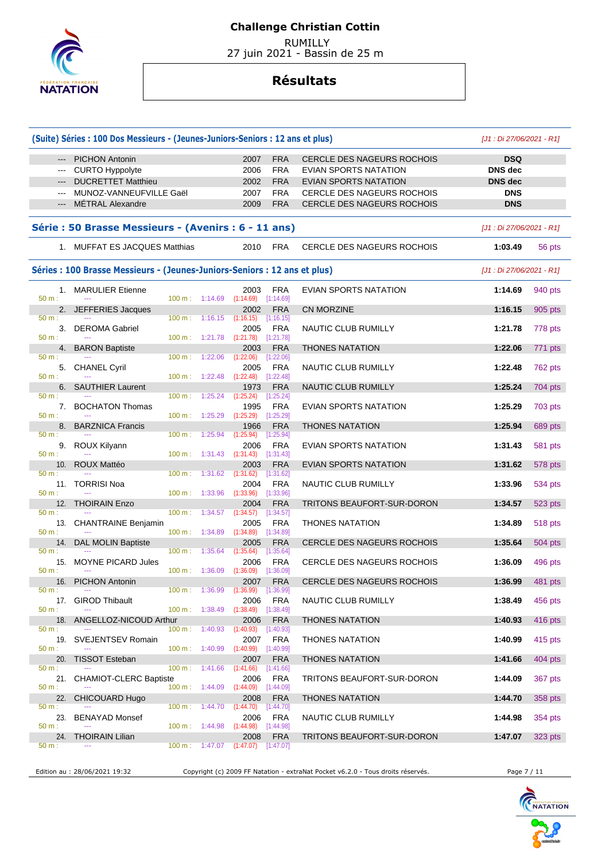

 RUMILLY 27 juin 2021 - Bassin de 25 m

## **Résultats**

|                                                                                                                                                                                                                                                                                                                                                                                                                                                                            | (Suite) Séries : 100 Dos Messieurs - (Jeunes-Juniors-Seniors : 12 ans et plus) |                                      |         |                                                          |                         |                                   | $[J1:Di 27/06/2021 - R1]$ |                |
|----------------------------------------------------------------------------------------------------------------------------------------------------------------------------------------------------------------------------------------------------------------------------------------------------------------------------------------------------------------------------------------------------------------------------------------------------------------------------|--------------------------------------------------------------------------------|--------------------------------------|---------|----------------------------------------------------------|-------------------------|-----------------------------------|---------------------------|----------------|
| $\cdots$                                                                                                                                                                                                                                                                                                                                                                                                                                                                   | <b>PICHON Antonin</b>                                                          |                                      |         | 2007                                                     | <b>FRA</b>              | CERCLE DES NAGEURS ROCHOIS        | <b>DSQ</b>                |                |
| $\frac{1}{2} \left( \frac{1}{2} \right) \left( \frac{1}{2} \right) \left( \frac{1}{2} \right) \left( \frac{1}{2} \right) \left( \frac{1}{2} \right) \left( \frac{1}{2} \right) \left( \frac{1}{2} \right) \left( \frac{1}{2} \right) \left( \frac{1}{2} \right) \left( \frac{1}{2} \right) \left( \frac{1}{2} \right) \left( \frac{1}{2} \right) \left( \frac{1}{2} \right) \left( \frac{1}{2} \right) \left( \frac{1}{2} \right) \left( \frac{1}{2} \right) \left( \frac$ | <b>CURTO Hyppolyte</b>                                                         |                                      |         | 2006                                                     | <b>FRA</b>              | EVIAN SPORTS NATATION             | <b>DNS</b> dec            |                |
|                                                                                                                                                                                                                                                                                                                                                                                                                                                                            | <b>DUCRETTET Matthieu</b>                                                      |                                      |         | 2002                                                     | <b>FRA</b>              | EVIAN SPORTS NATATION             | <b>DNS</b> dec            |                |
|                                                                                                                                                                                                                                                                                                                                                                                                                                                                            | MUNOZ-VANNEUFVILLE Gaël                                                        |                                      |         | 2007                                                     | <b>FRA</b>              | <b>CERCLE DES NAGEURS ROCHOIS</b> | <b>DNS</b>                |                |
| $\qquad \qquad - -$                                                                                                                                                                                                                                                                                                                                                                                                                                                        | <b>MÉTRAL Alexandre</b>                                                        |                                      |         | 2009                                                     | <b>FRA</b>              | <b>CERCLE DES NAGEURS ROCHOIS</b> | <b>DNS</b>                |                |
|                                                                                                                                                                                                                                                                                                                                                                                                                                                                            | Série : 50 Brasse Messieurs - (Avenirs : 6 - 11 ans)                           |                                      |         |                                                          |                         |                                   | [J1 : Di 27/06/2021 - R1] |                |
|                                                                                                                                                                                                                                                                                                                                                                                                                                                                            | 1. MUFFAT ES JACQUES Matthias                                                  |                                      |         | 2010                                                     | <b>FRA</b>              | <b>CERCLE DES NAGEURS ROCHOIS</b> | 1:03.49                   | 56 pts         |
|                                                                                                                                                                                                                                                                                                                                                                                                                                                                            | Séries : 100 Brasse Messieurs - (Jeunes-Juniors-Seniors : 12 ans et plus)      |                                      |         |                                                          |                         |                                   | [J1 : Di 27/06/2021 - R1] |                |
|                                                                                                                                                                                                                                                                                                                                                                                                                                                                            |                                                                                |                                      |         |                                                          |                         |                                   |                           |                |
|                                                                                                                                                                                                                                                                                                                                                                                                                                                                            | 1. MARULIER Etienne                                                            |                                      |         | 2003                                                     | <b>FRA</b>              | EVIAN SPORTS NATATION             | 1:14.69                   | 940 pts        |
| 50 m:                                                                                                                                                                                                                                                                                                                                                                                                                                                                      | 2. JEFFERIES Jacques                                                           | $100 \text{ m}: 1:14.69$             |         | $(1:14.69)$ $[1:14.69]$<br>2002                          | <b>FRA</b>              | <b>CN MORZINE</b>                 | 1:16.15                   | 905 pts        |
| 50 m:                                                                                                                                                                                                                                                                                                                                                                                                                                                                      |                                                                                | $100 \text{ m}: 1:16.15$             |         | $(1:16.15)$ $[1:16.15]$                                  |                         |                                   |                           |                |
| 50 m:                                                                                                                                                                                                                                                                                                                                                                                                                                                                      | 3. DEROMA Gabriel                                                              |                                      |         | 2005<br>100 m: 1:21.78 (1:21.78) [1:21.78]               | <b>FRA</b>              | <b>NAUTIC CLUB RUMILLY</b>        | 1:21.78                   | 778 pts        |
|                                                                                                                                                                                                                                                                                                                                                                                                                                                                            | 4. BARON Baptiste                                                              |                                      |         | 2003                                                     | <b>FRA</b>              | <b>THONES NATATION</b>            | 1:22.06                   | 771 pts        |
| 50 m:                                                                                                                                                                                                                                                                                                                                                                                                                                                                      |                                                                                | 100 m: 1:22.06                       |         | (1:22.06)                                                | [1:22.06]               |                                   |                           |                |
| 50 m:                                                                                                                                                                                                                                                                                                                                                                                                                                                                      | 5. CHANEL Cyril                                                                | $100 \text{ m}: 1:22.48$             |         | 2005<br>(1:22.48)                                        | <b>FRA</b><br>[1:22.48] | NAUTIC CLUB RUMILLY               | 1:22.48                   | 762 pts        |
| 6.                                                                                                                                                                                                                                                                                                                                                                                                                                                                         | <b>SAUTHIER Laurent</b>                                                        |                                      |         | 1973                                                     | <b>FRA</b>              | NAUTIC CLUB RUMILLY               | 1:25.24                   | 704 pts        |
| 50 m:                                                                                                                                                                                                                                                                                                                                                                                                                                                                      |                                                                                | 100 m:                               | 1:25.24 | (1:25.24)                                                | [1:25.24]               |                                   |                           |                |
|                                                                                                                                                                                                                                                                                                                                                                                                                                                                            | 7. BOCHATON Thomas                                                             |                                      |         | 1995                                                     | <b>FRA</b>              | <b>EVIAN SPORTS NATATION</b>      | 1:25.29                   | 703 pts        |
| 50 m:<br>8.                                                                                                                                                                                                                                                                                                                                                                                                                                                                | <b>BARZNICA Francis</b>                                                        | 100 m: 1:25.29                       |         | $(1:25.29)$ $[1:25.29]$<br>1966                          | <b>FRA</b>              | <b>THONES NATATION</b>            | 1:25.94                   | 689 pts        |
| 50 m:                                                                                                                                                                                                                                                                                                                                                                                                                                                                      |                                                                                | 100 m:                               | 1:25.94 | (1:25.94)                                                | [1:25.94]               |                                   |                           |                |
|                                                                                                                                                                                                                                                                                                                                                                                                                                                                            | 9. ROUX Kilyann                                                                |                                      |         | 2006                                                     | <b>FRA</b>              | EVIAN SPORTS NATATION             | 1:31.43                   | 581 pts        |
| 50 m:                                                                                                                                                                                                                                                                                                                                                                                                                                                                      |                                                                                | $100 \text{ m}: 1:31.43$ $(1:31.43)$ |         |                                                          | [1:31.43]               |                                   |                           |                |
| 10.<br>50 m:                                                                                                                                                                                                                                                                                                                                                                                                                                                               | ROUX Mattéo                                                                    | $100 \text{ m}: 1:31.62$             |         | 2003<br>(1:31.62)                                        | <b>FRA</b>              | <b>EVIAN SPORTS NATATION</b>      | 1:31.62                   | 578 pts        |
|                                                                                                                                                                                                                                                                                                                                                                                                                                                                            | 11. TORRISI Noa                                                                |                                      |         | 2004                                                     | [1:31.62]<br><b>FRA</b> | NAUTIC CLUB RUMILLY               | 1:33.96                   | 534 pts        |
| 50 m:                                                                                                                                                                                                                                                                                                                                                                                                                                                                      |                                                                                | 100 m: 1:33.96                       |         | (1:33.96)                                                | [1:33.96]               |                                   |                           |                |
|                                                                                                                                                                                                                                                                                                                                                                                                                                                                            | 12. THOIRAIN Enzo                                                              |                                      |         | 2004                                                     | <b>FRA</b>              | TRITONS BEAUFORT-SUR-DORON        | 1:34.57                   | 523 pts        |
| 50 m:                                                                                                                                                                                                                                                                                                                                                                                                                                                                      |                                                                                | 100 m:                               | 1:34.57 | (1:34.57)                                                | [1:34.57]               |                                   |                           |                |
| 50 m:                                                                                                                                                                                                                                                                                                                                                                                                                                                                      | 13. CHANTRAINE Benjamin                                                        | 100 m:                               | 1:34.89 | 2005<br>(1:34.89)                                        | <b>FRA</b><br>[1:34.89] | <b>THONES NATATION</b>            | 1:34.89                   | <b>518 pts</b> |
| 14.                                                                                                                                                                                                                                                                                                                                                                                                                                                                        | <b>DAL MOLIN Baptiste</b>                                                      |                                      |         | 2005                                                     | <b>FRA</b>              | CERCLE DES NAGEURS ROCHOIS        | 1:35.64                   | 504 pts        |
| 50 m:                                                                                                                                                                                                                                                                                                                                                                                                                                                                      |                                                                                | $100 \text{ m}: 1:35.64$             |         | (1:35.64)                                                | [1:35.64]               |                                   |                           |                |
| 15.                                                                                                                                                                                                                                                                                                                                                                                                                                                                        | <b>MOYNE PICARD Jules</b>                                                      |                                      |         | 2006                                                     | <b>FRA</b>              | CERCLE DES NAGEURS ROCHOIS        | 1:36.09                   | 496 pts        |
| $50 m$ :                                                                                                                                                                                                                                                                                                                                                                                                                                                                   | 16. PICHON Antonin                                                             | 100 m: 1:36.09                       |         | (1:36.09)<br>2007                                        | [1:36.09]<br><b>FRA</b> | <b>CERCLE DES NAGEURS ROCHOIS</b> | 1:36.99                   | 481 pts        |
| $50 m$ :                                                                                                                                                                                                                                                                                                                                                                                                                                                                   | ---                                                                            | $100 \text{ m}: 1:36.99$             |         | $(1:36.99)$ [1:36.99]                                    |                         |                                   |                           |                |
|                                                                                                                                                                                                                                                                                                                                                                                                                                                                            | 17. GIROD Thibault                                                             |                                      |         | 2006                                                     | <b>FRA</b>              | NAUTIC CLUB RUMILLY               | 1:38.49                   | 456 pts        |
| 50 m:                                                                                                                                                                                                                                                                                                                                                                                                                                                                      |                                                                                | $100 \text{ m}: 1:38.49$             |         | (1:38.49)                                                | [1:38.49]               |                                   |                           |                |
| 18.<br>50 m:                                                                                                                                                                                                                                                                                                                                                                                                                                                               | ANGELLOZ-NICOUD Arthur                                                         | $100 m$ : 1:40.93                    |         | 2006<br>(1:40.93)                                        | <b>FRA</b>              | <b>THONES NATATION</b>            | 1:40.93                   | 416 pts        |
| 19.                                                                                                                                                                                                                                                                                                                                                                                                                                                                        | <b>SVEJENTSEV Romain</b>                                                       |                                      |         | 2007                                                     | [1:40.93]<br><b>FRA</b> | <b>THONES NATATION</b>            | 1:40.99                   | 415 pts        |
| 50 m:                                                                                                                                                                                                                                                                                                                                                                                                                                                                      |                                                                                | $100 \text{ m}: 1:40.99$             |         | (1:40.99)                                                | [1:40.99]               |                                   |                           |                |
| 20.                                                                                                                                                                                                                                                                                                                                                                                                                                                                        | <b>TISSOT Esteban</b>                                                          |                                      |         | 2007                                                     | <b>FRA</b>              | <b>THONES NATATION</b>            | 1:41.66                   | 404 pts        |
| 50 m:                                                                                                                                                                                                                                                                                                                                                                                                                                                                      |                                                                                | $100 \text{ m}: 1:41.66$             |         | (1:41.66)                                                | [1:41.66]               |                                   |                           |                |
| 50 m:                                                                                                                                                                                                                                                                                                                                                                                                                                                                      | 21. CHAMIOT-CLERC Baptiste                                                     | $100 \text{ m}: 1:44.09$             |         | 2006<br>(1:44.09)                                        | <b>FRA</b><br>[1:44.09] | TRITONS BEAUFORT-SUR-DORON        | 1:44.09                   | 367 pts        |
|                                                                                                                                                                                                                                                                                                                                                                                                                                                                            | 22. CHICOUARD Hugo                                                             |                                      |         | 2008                                                     | <b>FRA</b>              | <b>THONES NATATION</b>            | 1:44.70                   | 358 pts        |
| 50 m:                                                                                                                                                                                                                                                                                                                                                                                                                                                                      |                                                                                | 100 m: 1:44.70                       |         | (1:44.70)                                                | [1:44.70]               |                                   |                           |                |
| 23.                                                                                                                                                                                                                                                                                                                                                                                                                                                                        | <b>BENAYAD Monsef</b>                                                          |                                      |         | 2006                                                     | <b>FRA</b>              | NAUTIC CLUB RUMILLY               | 1:44.98                   | 354 pts        |
| 50 m:                                                                                                                                                                                                                                                                                                                                                                                                                                                                      |                                                                                | $100 \text{ m}: 1:44.98$             |         | (1:44.98)                                                | $[1:44.98]$             |                                   |                           |                |
| 24.<br>50 m:                                                                                                                                                                                                                                                                                                                                                                                                                                                               | <b>THOIRAIN Lilian</b><br>---                                                  |                                      |         | 2008<br>$100 \text{ m}: 1:47.07$ $(1:47.07)$ $[1:47.07]$ | <b>FRA</b>              | TRITONS BEAUFORT-SUR-DORON        | 1:47.07                   | 323 pts        |
|                                                                                                                                                                                                                                                                                                                                                                                                                                                                            |                                                                                |                                      |         |                                                          |                         |                                   |                           |                |

Edition au : 28/06/2021 19:32 Copyright (c) 2009 FF Natation - extraNat Pocket v6.2.0 - Tous droits réservés. Page 7 / 11

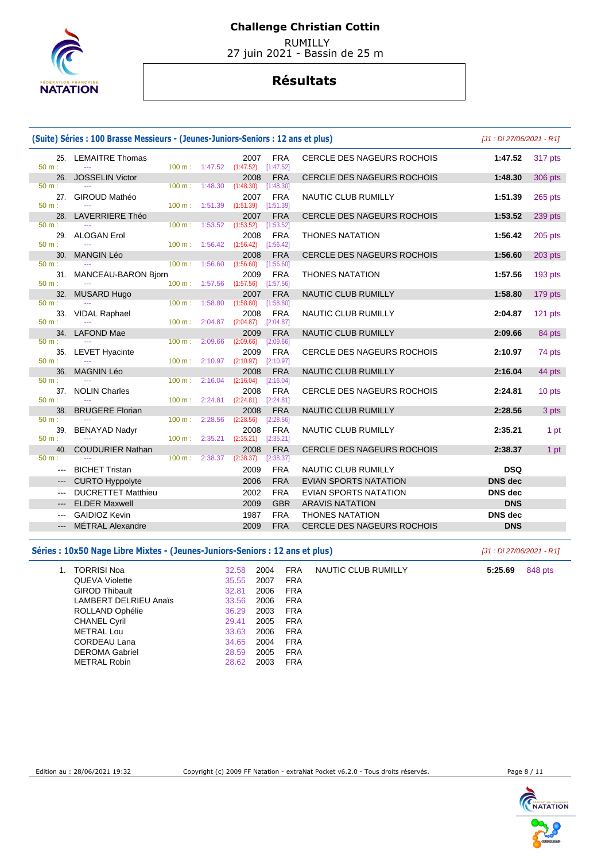

 RUMILLY 27 juin 2021 - Bassin de 25 m

#### **Résultats**

|                 | (Suite) Séries : 100 Brasse Messieurs - (Jeunes-Juniors-Seniors : 12 ans et plus) |                   |                           |                   |                         |                                   | [J1 : Di 27/06/2021 - R1] |                |
|-----------------|-----------------------------------------------------------------------------------|-------------------|---------------------------|-------------------|-------------------------|-----------------------------------|---------------------------|----------------|
| 50 m:           | 25. LEMAITRE Thomas<br>$\overline{a}$                                             |                   | 100 m: 1:47.52            | 2007<br>(1:47.52) | <b>FRA</b><br>[1:47.52] | <b>CERCLE DES NAGEURS ROCHOIS</b> | 1:47.52                   | 317 pts        |
| 26.<br>$50 m$ : | <b>JOSSELIN Victor</b>                                                            | $100 \text{ m}$ : | 1:48.30                   | 2008<br>(1:48.30) | <b>FRA</b><br>[1:48.30] | <b>CERCLE DES NAGEURS ROCHOIS</b> | 1:48.30                   | <b>306 pts</b> |
| 27.<br>$50 m$ : | <b>GIROUD Mathéo</b>                                                              | 100 m: 1:51.39    |                           | 2007<br>(1:51.39) | <b>FRA</b><br>[1:51.39] | NAUTIC CLUB RUMILLY               | 1:51.39                   | 265 pts        |
| 28.             | <b>LAVERRIERE Théo</b>                                                            |                   |                           | 2007              | <b>FRA</b>              | CERCLE DES NAGEURS ROCHOIS        | 1:53.52                   | 239 pts        |
| $50 m$ :        |                                                                                   | $100 \text{ m}$ : | 1:53.52                   | (1:53.52)         | [1:53.52]               |                                   |                           |                |
| 29.             | <b>ALOGAN Erol</b>                                                                |                   |                           | 2008              | <b>FRA</b>              | <b>THONES NATATION</b>            | 1:56.42                   | $205$ pts      |
| 50 m:<br>30.    | <b>MANGIN Léo</b>                                                                 | 100 m:            | 1:56.42                   | (1:56.42)<br>2008 | [1:56.42]<br><b>FRA</b> | <b>CERCLE DES NAGEURS ROCHOIS</b> | 1:56.60                   |                |
| 50 m:           |                                                                                   | 100 m:            | 1:56.60                   | (1:56.60)         | [1:56.60]               |                                   |                           | 203 pts        |
| 31.             | MANCEAU-BARON Bjorn                                                               |                   |                           | 2009              | <b>FRA</b>              | <b>THONES NATATION</b>            | 1:57.56                   | 193 pts        |
| $50 m$ :        |                                                                                   |                   | $100 \text{ m}$ : 1:57.56 | (1:57.56)         | [1:57.56]               |                                   |                           |                |
| 32.             | <b>MUSARD Hugo</b>                                                                |                   |                           | 2007              | <b>FRA</b>              | NAUTIC CLUB RUMILLY               | 1:58.80                   | 179 pts        |
| $50 m$ :        |                                                                                   | 100 m:            | 1:58.80                   | (1:58.80)         | [1:58.80]               |                                   |                           |                |
| 33.<br>50 m:    | <b>VIDAL Raphael</b>                                                              | 100 m:            | 2:04.87                   | 2008              | <b>FRA</b>              | <b>NAUTIC CLUB RUMILLY</b>        | 2:04.87                   | 121 pts        |
|                 | 34. LAFOND Mae                                                                    |                   |                           | (2:04.87)<br>2009 | [2:04.87]<br><b>FRA</b> | NAUTIC CLUB RUMILLY               | 2:09.66                   | 84 pts         |
| $50 m$ :        |                                                                                   | 100 m:            | 2:09.66                   | (2:09.66)         | [2:09.66]               |                                   |                           |                |
| 35.             | <b>LEVET Hyacinte</b>                                                             |                   |                           | 2009              | <b>FRA</b>              | CERCLE DES NAGEURS ROCHOIS        | 2:10.97                   | 74 pts         |
| $50 m$ :        |                                                                                   | 100 m:            | 2:10.97                   | (2:10.97)         | [2:10.97]               |                                   |                           |                |
| 36.             | <b>MAGNIN Léo</b>                                                                 |                   |                           | 2008              | <b>FRA</b>              | <b>NAUTIC CLUB RUMILLY</b>        | 2:16.04                   | 44 pts         |
| $50 m$ :        |                                                                                   | $100 \text{ m}$ : | 2:16.04                   | (2:16.04)         | [2:16.04]               |                                   |                           |                |
| 37.             | <b>NOLIN Charles</b>                                                              |                   |                           | 2008              | <b>FRA</b>              | <b>CERCLE DES NAGEURS ROCHOIS</b> | 2:24.81                   | 10 pts         |
| $50 m$ :        |                                                                                   | 100 m:            | 2:24.81                   | (2:24.81)         | [2:24.81]               |                                   | 2:28.56                   |                |
| 38.<br>$50 m$ : | <b>BRUGERE Florian</b>                                                            | $100 \text{ m}$ : | 2:28.56                   | 2008<br>(2:28.56) | <b>FRA</b><br>[2:28.56] | NAUTIC CLUB RUMILLY               |                           | 3 pts          |
| 39.             | <b>BENAYAD Nadyr</b>                                                              |                   |                           | 2008              | <b>FRA</b>              | <b>NAUTIC CLUB RUMILLY</b>        | 2:35.21                   | 1 pt           |
| $50 m$ :        |                                                                                   | $100 \text{ m}$ : | 2:35.21                   | (2:35.21)         | [2:35.21]               |                                   |                           |                |
| 40.             | <b>COUDURIER Nathan</b>                                                           |                   |                           | 2008              | <b>FRA</b>              | <b>CERCLE DES NAGEURS ROCHOIS</b> | 2:38.37                   | 1 pt           |
| $50 m$ :        |                                                                                   | 100 m:            | 2:38.37                   | (2:38.37)         | [2:38.37]               |                                   |                           |                |
|                 | <b>BICHET Tristan</b>                                                             |                   |                           | 2009              | <b>FRA</b>              | <b>NAUTIC CLUB RUMILLY</b>        | <b>DSQ</b>                |                |
|                 | <b>CURTO Hyppolyte</b>                                                            |                   |                           | 2006              | <b>FRA</b>              | <b>EVIAN SPORTS NATATION</b>      | <b>DNS</b> dec            |                |
|                 | <b>DUCRETTET Matthieu</b>                                                         |                   |                           | 2002              | <b>FRA</b>              | <b>EVIAN SPORTS NATATION</b>      | <b>DNS</b> dec            |                |
|                 | <b>ELDER Maxwell</b>                                                              |                   |                           | 2009              | <b>GBR</b>              | <b>ARAVIS NATATION</b>            | <b>DNS</b>                |                |
|                 | <b>GAIDIOZ Kevin</b>                                                              |                   |                           | 1987              | <b>FRA</b>              | <b>THONES NATATION</b>            | <b>DNS</b> dec            |                |
|                 | MÉTRAL Alexandre                                                                  |                   |                           | 2009              | <b>FRA</b>              | <b>CERCLE DES NAGEURS ROCHOIS</b> | <b>DNS</b>                |                |
|                 |                                                                                   |                   |                           |                   |                         |                                   |                           |                |

#### Séries : 10x50 Nage Libre Mixtes - (Jeunes-Juniors-Seniors : 12 ans et plus) *[J1 : Di 27/06/2021 - R1]*

| 1. | <b>TORRISI Noa</b>    | 32.58 | 2004 | <b>FRA</b> | NAUTIC CLUB RUMILLY | 5:25.69 | 848 pts |
|----|-----------------------|-------|------|------------|---------------------|---------|---------|
|    | QUEVA Violette        | 35.55 | 2007 | <b>FRA</b> |                     |         |         |
|    | <b>GIROD Thibault</b> | 32.81 | 2006 | <b>FRA</b> |                     |         |         |
|    | LAMBERT DELRIEU Anaïs | 33.56 | 2006 | <b>FRA</b> |                     |         |         |
|    | ROLLAND Ophélie       | 36.29 | 2003 | <b>FRA</b> |                     |         |         |
|    | <b>CHANEL Cyril</b>   | 29.41 | 2005 | <b>FRA</b> |                     |         |         |
|    | <b>METRAL Lou</b>     | 33.63 | 2006 | <b>FRA</b> |                     |         |         |
|    | CORDEAU Lana          | 34.65 | 2004 | <b>FRA</b> |                     |         |         |
|    | <b>DEROMA Gabriel</b> | 28.59 | 2005 | <b>FRA</b> |                     |         |         |
|    | <b>METRAL Robin</b>   | 28.62 | 2003 | <b>FRA</b> |                     |         |         |

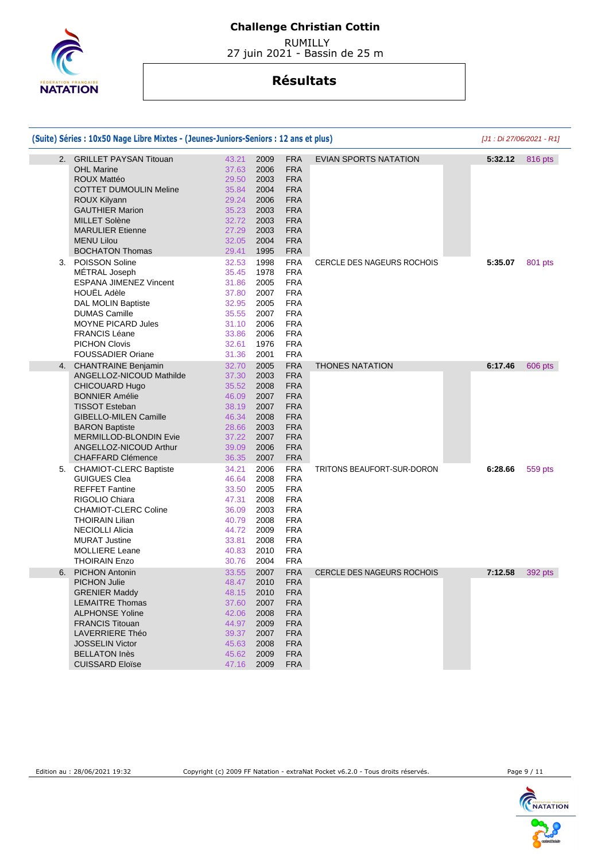

 RUMILLY 27 juin 2021 - Bassin de 25 m

|    | (Suite) Séries : 10x50 Nage Libre Mixtes - (Jeunes-Juniors-Seniors : 12 ans et plus)                                                                                                                                                                                       |                                                                                        |                                                                                                                                                                                                                          |                                   | $[J1:Di 27/06/2021 - R1]$ |         |
|----|----------------------------------------------------------------------------------------------------------------------------------------------------------------------------------------------------------------------------------------------------------------------------|----------------------------------------------------------------------------------------|--------------------------------------------------------------------------------------------------------------------------------------------------------------------------------------------------------------------------|-----------------------------------|---------------------------|---------|
|    | 2. GRILLET PAYSAN Titouan<br><b>OHL Marine</b><br><b>ROUX Mattéo</b><br><b>COTTET DUMOULIN Meline</b><br>ROUX Kilyann<br><b>GAUTHIER Marion</b><br><b>MILLET Solène</b><br><b>MARULIER Etienne</b><br><b>MENU Lilou</b><br><b>BOCHATON Thomas</b>                          | 43.21<br>37.63<br>29.50<br>35.84<br>29.24<br>35.23<br>32.72<br>27.29<br>32.05<br>29.41 | 2009<br><b>FRA</b><br><b>FRA</b><br>2006<br><b>FRA</b><br>2003<br>2004<br><b>FRA</b><br>2006<br><b>FRA</b><br><b>FRA</b><br>2003<br><b>FRA</b><br>2003<br>2003<br><b>FRA</b><br><b>FRA</b><br>2004<br><b>FRA</b><br>1995 | <b>EVIAN SPORTS NATATION</b>      | 5:32.12                   | 816 pts |
| 3. | POISSON Soline<br>MÉTRAL Joseph<br><b>ESPANA JIMENEZ Vincent</b><br><b>HOUËL Adèle</b><br>DAL MOLIN Baptiste<br><b>DUMAS Camille</b><br><b>MOYNE PICARD Jules</b><br><b>FRANCIS Léane</b><br><b>PICHON Clovis</b><br><b>FOUSSADIER Oriane</b>                              | 32.53<br>35.45<br>31.86<br>37.80<br>32.95<br>35.55<br>31.10<br>33.86<br>32.61<br>31.36 | <b>FRA</b><br>1998<br>1978<br><b>FRA</b><br><b>FRA</b><br>2005<br>2007<br><b>FRA</b><br><b>FRA</b><br>2005<br><b>FRA</b><br>2007<br>2006<br><b>FRA</b><br><b>FRA</b><br>2006<br><b>FRA</b><br>1976<br><b>FRA</b><br>2001 | <b>CERCLE DES NAGEURS ROCHOIS</b> | 5:35.07                   | 801 pts |
| 4. | <b>CHANTRAINE Benjamin</b><br>ANGELLOZ-NICOUD Mathilde<br>CHICOUARD Hugo<br><b>BONNIER Amélie</b><br><b>TISSOT Esteban</b><br><b>GIBELLO-MILEN Camille</b><br><b>BARON Baptiste</b><br><b>MERMILLOD-BLONDIN Evie</b><br>ANGELLOZ-NICOUD Arthur<br><b>CHAFFARD Clémence</b> | 32.70<br>37.30<br>35.52<br>46.09<br>38.19<br>46.34<br>28.66<br>37.22<br>39.09<br>36.35 | <b>FRA</b><br>2005<br><b>FRA</b><br>2003<br>2008<br><b>FRA</b><br>2007<br><b>FRA</b><br><b>FRA</b><br>2007<br>2008<br><b>FRA</b><br><b>FRA</b><br>2003<br><b>FRA</b><br>2007<br>2006<br><b>FRA</b><br>2007<br><b>FRA</b> | <b>THONES NATATION</b>            | 6:17.46                   | 606 pts |
| 5. | <b>CHAMIOT-CLERC Baptiste</b><br><b>GUIGUES Clea</b><br><b>REFFET Fantine</b><br>RIGOLIO Chiara<br><b>CHAMIOT-CLERC Coline</b><br><b>THOIRAIN Lilian</b><br><b>NECIOLLI Alicia</b><br><b>MURAT Justine</b><br><b>MOLLIERE Leane</b><br><b>THOIRAIN Enzo</b>                | 34.21<br>46.64<br>33.50<br>47.31<br>36.09<br>40.79<br>44.72<br>33.81<br>40.83<br>30.76 | <b>FRA</b><br>2006<br><b>FRA</b><br>2008<br>2005<br><b>FRA</b><br>2008<br><b>FRA</b><br><b>FRA</b><br>2003<br>2008<br><b>FRA</b><br><b>FRA</b><br>2009<br><b>FRA</b><br>2008<br>2010<br><b>FRA</b><br>2004<br><b>FRA</b> | TRITONS BEAUFORT-SUR-DORON        | 6:28.66                   | 559 pts |
| 6. | <b>PICHON Antonin</b><br><b>PICHON Julie</b><br><b>GRENIER Maddy</b><br><b>LEMAITRE Thomas</b><br><b>ALPHONSE Yoline</b><br><b>FRANCIS Titouan</b><br><b>LAVERRIERE Théo</b><br><b>JOSSELIN Victor</b><br><b>BELLATON Inès</b><br><b>CUISSARD Eloïse</b>                   | 33.55<br>48.47<br>48.15<br>37.60<br>42.06<br>44.97<br>39.37<br>45.63<br>45.62<br>47.16 | <b>FRA</b><br>2007<br>2010<br><b>FRA</b><br>2010<br><b>FRA</b><br>2007<br><b>FRA</b><br>2008<br><b>FRA</b><br><b>FRA</b><br>2009<br>2007<br><b>FRA</b><br>2008<br><b>FRA</b><br><b>FRA</b><br>2009<br>2009<br><b>FRA</b> | <b>CERCLE DES NAGEURS ROCHOIS</b> | 7:12.58                   | 392 pts |

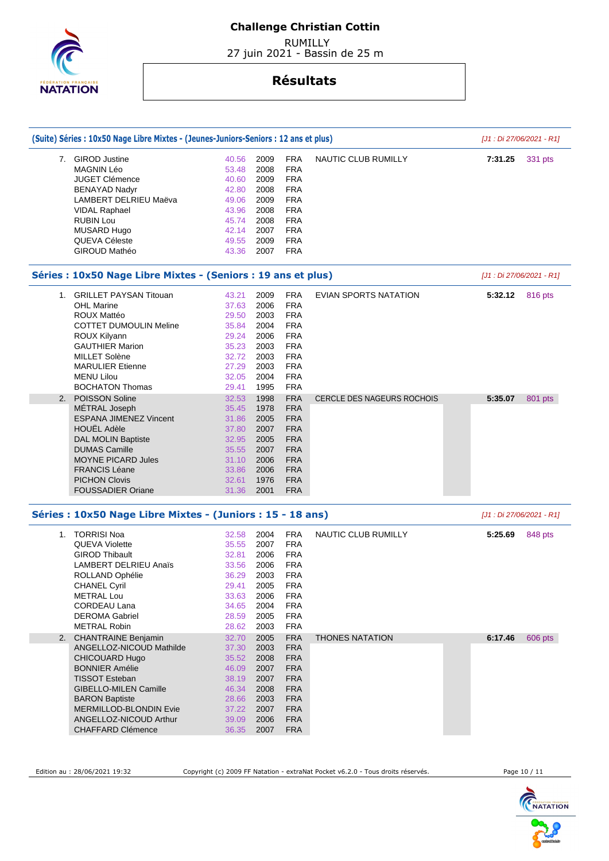

 RUMILLY 27 juin 2021 - Bassin de 25 m

## **Résultats**

|    | (Suite) Séries : 10x50 Nage Libre Mixtes - (Jeunes-Juniors-Seniors : 12 ans et plus) |                |              |                          |                                   | [J1 : Di 27/06/2021 - R1] |         |
|----|--------------------------------------------------------------------------------------|----------------|--------------|--------------------------|-----------------------------------|---------------------------|---------|
|    | 7. GIROD Justine                                                                     | 40.56          | 2009         | <b>FRA</b>               | <b>NAUTIC CLUB RUMILLY</b>        | 7:31.25                   | 331 pts |
|    | <b>MAGNIN Léo</b>                                                                    | 53.48          | 2008         | <b>FRA</b>               |                                   |                           |         |
|    | <b>JUGET Clémence</b>                                                                | 40.60          | 2009         | <b>FRA</b>               |                                   |                           |         |
|    | <b>BENAYAD Nadyr</b>                                                                 | 42.80          | 2008         | <b>FRA</b>               |                                   |                           |         |
|    | LAMBERT DELRIEU Maëva                                                                | 49.06          | 2009         | <b>FRA</b>               |                                   |                           |         |
|    | <b>VIDAL Raphael</b>                                                                 | 43.96          | 2008         | <b>FRA</b>               |                                   |                           |         |
|    | <b>RUBIN Lou</b>                                                                     | 45.74          | 2008         | <b>FRA</b>               |                                   |                           |         |
|    | MUSARD Hugo                                                                          | 42.14          | 2007         | <b>FRA</b>               |                                   |                           |         |
|    | QUEVA Céleste                                                                        | 49.55          | 2009         | <b>FRA</b>               |                                   |                           |         |
|    | GIROUD Mathéo                                                                        | 43.36          | 2007         | <b>FRA</b>               |                                   |                           |         |
|    | Séries : 10x50 Nage Libre Mixtes - (Seniors : 19 ans et plus)                        |                |              |                          |                                   | [J1 : Di 27/06/2021 - R1] |         |
|    | 1. GRILLET PAYSAN Titouan                                                            | 43.21          | 2009         | <b>FRA</b>               | EVIAN SPORTS NATATION             | 5:32.12                   | 816 pts |
|    | <b>OHL Marine</b>                                                                    | 37.63          | 2006         | <b>FRA</b>               |                                   |                           |         |
|    | <b>ROUX Mattéo</b>                                                                   | 29.50          | 2003         | <b>FRA</b>               |                                   |                           |         |
|    | <b>COTTET DUMOULIN Meline</b>                                                        | 35.84          | 2004         | <b>FRA</b>               |                                   |                           |         |
|    | ROUX Kilyann                                                                         | 29.24          | 2006         | <b>FRA</b>               |                                   |                           |         |
|    | <b>GAUTHIER Marion</b>                                                               | 35.23          | 2003         | <b>FRA</b>               |                                   |                           |         |
|    | <b>MILLET Solène</b>                                                                 | 32.72          | 2003         | <b>FRA</b>               |                                   |                           |         |
|    | <b>MARULIER Etienne</b>                                                              | 27.29          | 2003         | <b>FRA</b>               |                                   |                           |         |
|    | <b>MENU Lilou</b>                                                                    | 32.05          | 2004         | <b>FRA</b>               |                                   |                           |         |
|    | <b>BOCHATON Thomas</b>                                                               | 29.41          | 1995         | <b>FRA</b>               |                                   |                           |         |
| 2. | POISSON Soline                                                                       | 32.53          | 1998         | <b>FRA</b>               | <b>CERCLE DES NAGEURS ROCHOIS</b> | 5:35.07                   | 801 pts |
|    | MÉTRAL Joseph                                                                        | 35.45          | 1978         | <b>FRA</b>               |                                   |                           |         |
|    | <b>ESPANA JIMENEZ Vincent</b>                                                        | 31.86          | 2005         | <b>FRA</b>               |                                   |                           |         |
|    | <b>HOUËL Adèle</b>                                                                   | 37.80          | 2007         | <b>FRA</b>               |                                   |                           |         |
|    |                                                                                      |                |              | <b>FRA</b>               |                                   |                           |         |
|    | <b>DAL MOLIN Baptiste</b>                                                            | 32.95          | 2005         |                          |                                   |                           |         |
|    | <b>DUMAS Camille</b>                                                                 | 35.55          | 2007         | <b>FRA</b>               |                                   |                           |         |
|    | <b>MOYNE PICARD Jules</b>                                                            | 31.10          | 2006         | <b>FRA</b>               |                                   |                           |         |
|    | <b>FRANCIS Léane</b>                                                                 | 33.86          | 2006         | <b>FRA</b>               |                                   |                           |         |
|    | <b>PICHON Clovis</b>                                                                 | 32.61          | 1976         | <b>FRA</b>               |                                   |                           |         |
|    | <b>FOUSSADIER Oriane</b>                                                             | 31.36          | 2001         | <b>FRA</b>               |                                   |                           |         |
|    | Séries : 10x50 Nage Libre Mixtes - (Juniors : 15 - 18 ans)                           |                |              |                          |                                   | $[J1:Di 27/06/2021 - R1]$ |         |
|    | 1. TORRISI Noa                                                                       | 32.58          | 2004         | <b>FRA</b>               | NAUTIC CLUB RUMILLY               | 5:25.69                   | 848 pts |
|    | <b>QUEVA Violette</b>                                                                | 35.55          | 2007         | <b>FRA</b>               |                                   |                           |         |
|    | <b>GIROD Thibault</b>                                                                | 32.81          | 2006         | <b>FRA</b>               |                                   |                           |         |
|    | <b>LAMBERT DELRIEU Anaïs</b>                                                         | 33.56          | 2006         | <b>FRA</b>               |                                   |                           |         |
|    | ROLLAND Ophélie                                                                      | 36.29          | 2003         | <b>FRA</b>               |                                   |                           |         |
|    | <b>CHANEL Cyril</b>                                                                  | 29.41          | 2005         | <b>FRA</b>               |                                   |                           |         |
|    | <b>METRAL Lou</b>                                                                    | 33.63          | 2006         | <b>FRA</b>               |                                   |                           |         |
|    | <b>CORDEAU Lana</b>                                                                  | 34.65          | 2004         | <b>FRA</b>               |                                   |                           |         |
|    | <b>DEROMA Gabriel</b>                                                                | 28.59          | 2005         | <b>FRA</b>               |                                   |                           |         |
|    | <b>METRAL Robin</b>                                                                  | 28.62          | 2003         | <b>FRA</b>               |                                   |                           |         |
|    | 2. CHANTRAINE Benjamin                                                               | 32.70          | 2005         | <b>FRA</b>               | <b>THONES NATATION</b>            | 6:17.46                   | 606 pts |
|    | ANGELLOZ-NICOUD Mathilde                                                             | 37.30          | 2003         | <b>FRA</b>               |                                   |                           |         |
|    | CHICOUARD Hugo                                                                       | 35.52          | 2008         | <b>FRA</b>               |                                   |                           |         |
|    | <b>BONNIER Amélie</b>                                                                | 46.09          | 2007         | <b>FRA</b>               |                                   |                           |         |
|    | <b>TISSOT Esteban</b>                                                                | 38.19          | 2007         | <b>FRA</b>               |                                   |                           |         |
|    | <b>GIBELLO-MILEN Camille</b>                                                         |                |              |                          |                                   |                           |         |
|    |                                                                                      | 46.34          | 2008         | <b>FRA</b>               |                                   |                           |         |
|    | <b>BARON Baptiste</b>                                                                | 28.66          | 2003<br>2007 | <b>FRA</b>               |                                   |                           |         |
|    |                                                                                      |                |              | <b>FRA</b>               |                                   |                           |         |
|    | MERMILLOD-BLONDIN Evie                                                               | 37.22          |              |                          |                                   |                           |         |
|    | ANGELLOZ-NICOUD Arthur<br><b>CHAFFARD Clémence</b>                                   | 39.09<br>36.35 | 2006<br>2007 | <b>FRA</b><br><b>FRA</b> |                                   |                           |         |

Edition au : 28/06/2021 19:32 Copyright (c) 2009 FF Natation - extraNat Pocket v6.2.0 - Tous droits réservés. Page 10 / 11